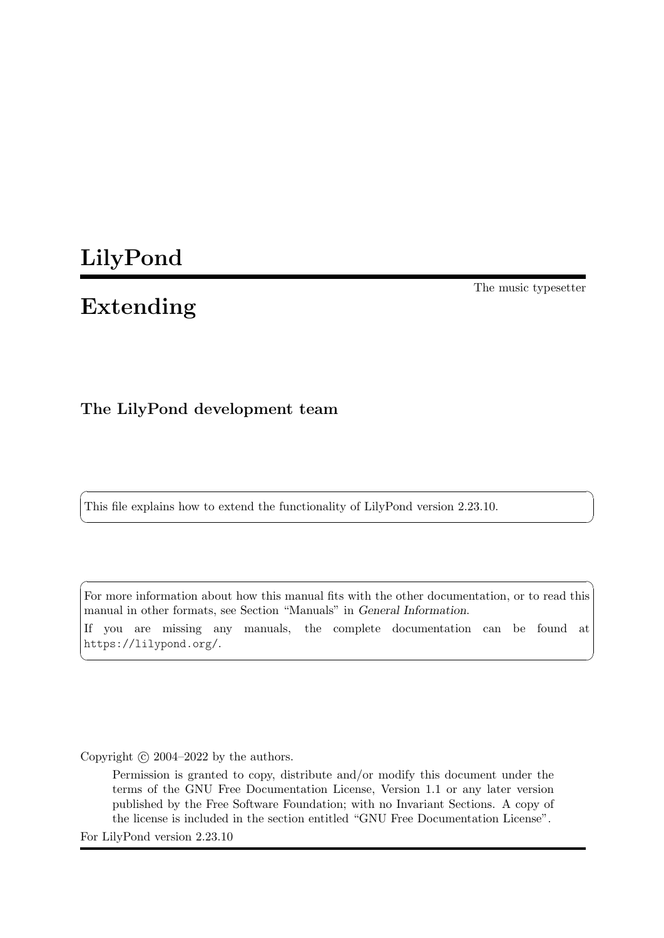# LilyPond

# Extending

The music typesetter

## The LilyPond development team

This file explains how to extend the functionality of LilyPond version 2.23.10.

For more information about how this manual fits with the other documentation, or to read this manual in other formats, see Section "Manuals" in General Information. If you are missing any manuals, the complete documentation can be found at <https://lilypond.org/>.

✡ ✠

 $\sqrt{2\pi}$ 

 $\left($   $\right)$   $\left($   $\right)$   $\left($   $\right)$   $\left($   $\right)$   $\left($   $\right)$   $\left($   $\right)$   $\left($   $\right)$   $\left($   $\right)$   $\left($   $\right)$   $\left($   $\right)$   $\left($   $\right)$   $\left($   $\right)$   $\left($   $\right)$   $\left($   $\right)$   $\left($   $\right)$   $\left($   $\right)$   $\left($   $\right)$   $\left($   $\right)$   $\left($ 

 $\sqrt{2\pi}$ 

Copyright  $\odot$  2004–2022 by the authors.

Permission is granted to copy, distribute and/or modify this document under the terms of the GNU Free Documentation License, Version 1.1 or any later version published by the Free Software Foundation; with no Invariant Sections. A copy of the license is included in the section entitled "GNU Free Documentation License".

For LilyPond version 2.23.10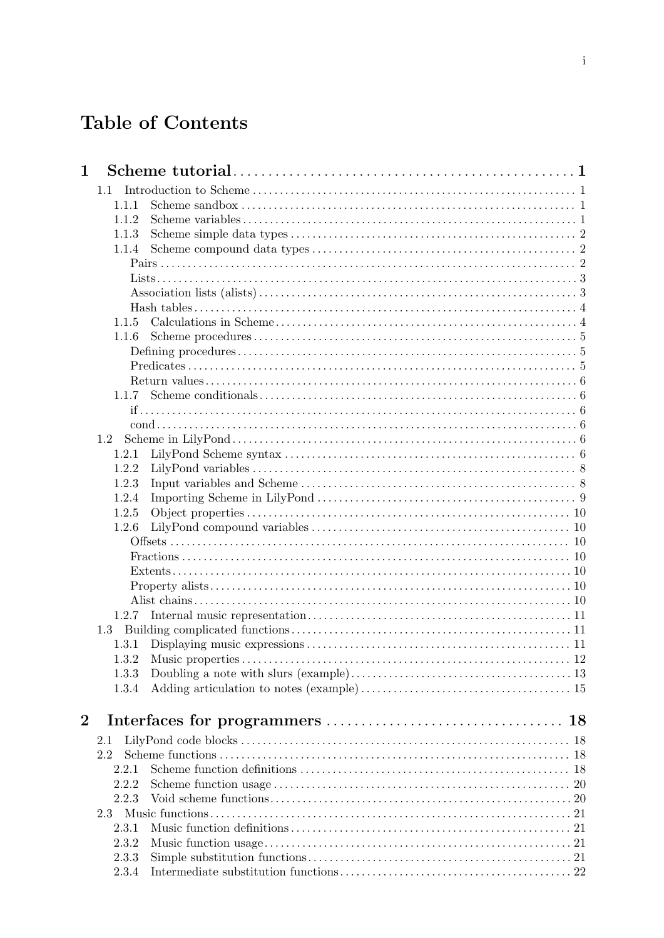# Table of Contents

| $\mathbf 1$    |       |    |
|----------------|-------|----|
|                | 1.1   |    |
|                | 1.1.1 |    |
|                | 1.1.2 |    |
|                | 1.1.3 |    |
|                | 1.1.4 |    |
|                |       |    |
|                |       |    |
|                |       |    |
|                |       |    |
|                | 1.1.5 |    |
|                | 1.1.6 |    |
|                |       |    |
|                |       |    |
|                |       |    |
|                | 1.1.7 |    |
|                |       |    |
|                |       |    |
|                | 1.2   |    |
|                | 1.2.1 |    |
|                | 1.2.2 |    |
|                | 1.2.3 |    |
|                | 1.2.4 |    |
|                | 1.2.5 |    |
|                | 1.2.6 |    |
|                |       |    |
|                |       |    |
|                |       |    |
|                |       |    |
|                |       |    |
|                |       |    |
|                | 1.3   |    |
|                | 1.3.1 |    |
|                |       |    |
|                | 1.3.3 |    |
|                | 1.3.4 |    |
| $\overline{2}$ |       | 18 |
|                | 2.1   |    |
|                | 2.2   |    |
|                | 2.2.1 |    |
|                | 2.2.2 |    |
|                | 2.2.3 |    |
|                | 2.3   |    |
|                | 2.3.1 |    |
|                | 2.3.2 |    |
|                | 2.3.3 |    |
|                | 2.3.4 |    |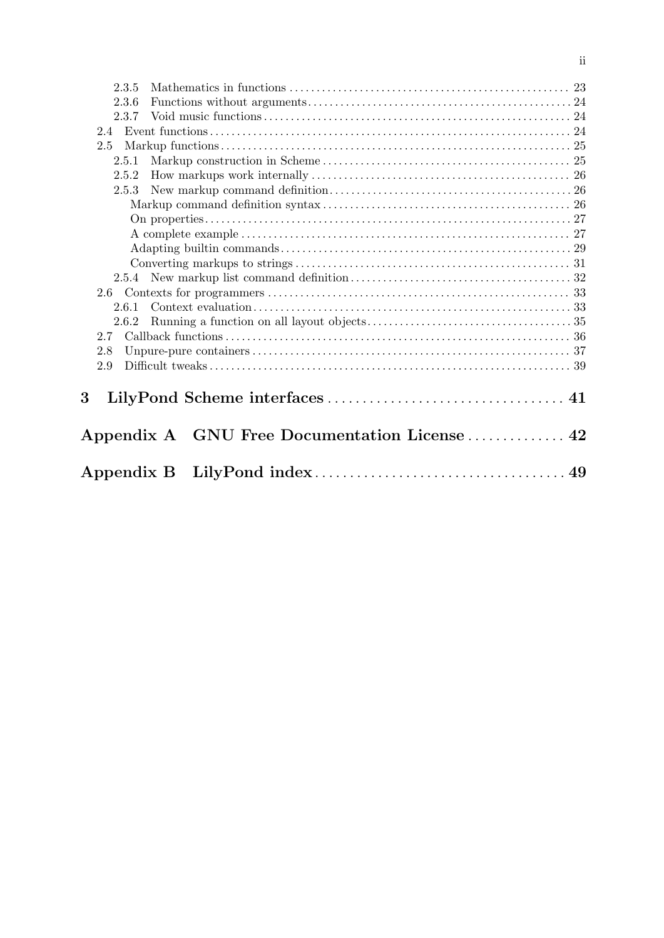| 2.3.5           |  |
|-----------------|--|
| 2.3.6           |  |
| 2.3.7           |  |
| 2.4             |  |
| 2.5             |  |
| 2.5.1           |  |
| 2.5.2           |  |
| 2.5.3           |  |
|                 |  |
|                 |  |
|                 |  |
|                 |  |
|                 |  |
|                 |  |
|                 |  |
| 2.6.1           |  |
| 2.6.2           |  |
|                 |  |
| 2.8             |  |
| 2.9             |  |
|                 |  |
| $3\overline{ }$ |  |
|                 |  |
|                 |  |
|                 |  |
|                 |  |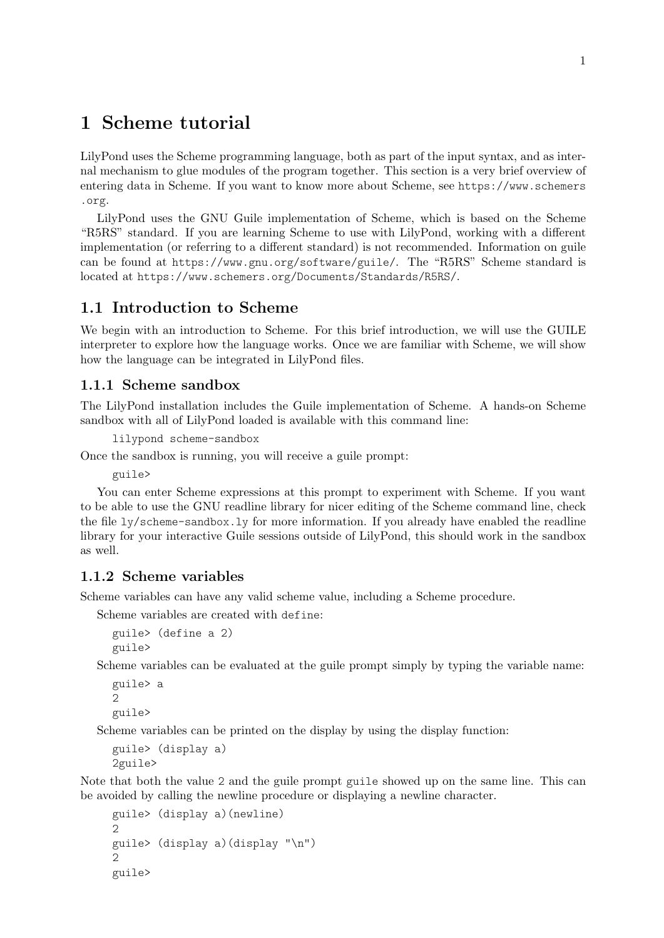## <span id="page-3-0"></span>1 Scheme tutorial

LilyPond uses the Scheme programming language, both as part of the input syntax, and as internal mechanism to glue modules of the program together. This section is a very brief overview of entering data in Scheme. If you want to know more about Scheme, see [https://www.schemers](https://www.schemers.org) [.org](https://www.schemers.org).

LilyPond uses the GNU Guile implementation of Scheme, which is based on the Scheme "R5RS" standard. If you are learning Scheme to use with LilyPond, working with a different implementation (or referring to a different standard) is not recommended. Information on guile can be found at <https://www.gnu.org/software/guile/>. The "R5RS" Scheme standard is located at <https://www.schemers.org/Documents/Standards/R5RS/>.

## 1.1 Introduction to Scheme

We begin with an introduction to Scheme. For this brief introduction, we will use the GUILE interpreter to explore how the language works. Once we are familiar with Scheme, we will show how the language can be integrated in LilyPond files.

## 1.1.1 Scheme sandbox

The LilyPond installation includes the Guile implementation of Scheme. A hands-on Scheme sandbox with all of LilyPond loaded is available with this command line:

lilypond scheme-sandbox

Once the sandbox is running, you will receive a guile prompt:

guile>

You can enter Scheme expressions at this prompt to experiment with Scheme. If you want to be able to use the GNU readline library for nicer editing of the Scheme command line, check the file ly/scheme-sandbox.ly for more information. If you already have enabled the readline library for your interactive Guile sessions outside of LilyPond, this should work in the sandbox as well.

## 1.1.2 Scheme variables

Scheme variables can have any valid scheme value, including a Scheme procedure.

Scheme variables are created with define:

```
guile> (define a 2)
guile>
```
Scheme variables can be evaluated at the guile prompt simply by typing the variable name:

```
guile> a
\mathcal{L}guile>
```
Scheme variables can be printed on the display by using the display function:

```
guile> (display a)
2guile>
```
Note that both the value 2 and the guile prompt guile showed up on the same line. This can be avoided by calling the newline procedure or displaying a newline character.

```
guile> (display a)(newline)
\mathcal{D}guile> (display a)(display "\n")
\mathcal{D}guile>
```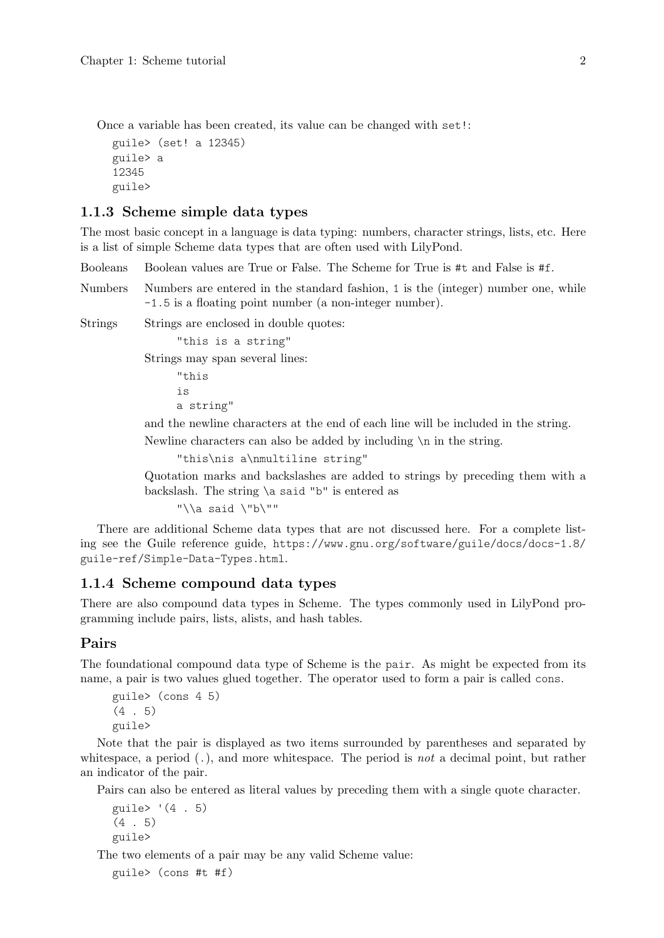<span id="page-4-0"></span>Once a variable has been created, its value can be changed with set!:

guile> (set! a 12345) guile> a 12345 guile>

## 1.1.3 Scheme simple data types

The most basic concept in a language is data typing: numbers, character strings, lists, etc. Here is a list of simple Scheme data types that are often used with LilyPond.

Booleans Boolean values are True or False. The Scheme for True is #t and False is #f.

Numbers Numbers are entered in the standard fashion, 1 is the (integer) number one, while -1.5 is a floating point number (a non-integer number).

Strings Strings are enclosed in double quotes:

"this is a string"

Strings may span several lines:

"this is a string"

and the newline characters at the end of each line will be included in the string.

Newline characters can also be added by including \n in the string.

```
"this\nis a\nmultiline string"
```
Quotation marks and backslashes are added to strings by preceding them with a backslash. The string \a said "b" is entered as

"\\a said \"b\""

There are additional Scheme data types that are not discussed here. For a complete listing see the Guile reference guide, [https://www.gnu.org/software/guile/docs/docs-1.8/](https://www.gnu.org/software/guile/docs/docs-1.8/guile-ref/Simple-Data-Types.html) [guile-ref/Simple-Data-Types.html](https://www.gnu.org/software/guile/docs/docs-1.8/guile-ref/Simple-Data-Types.html).

## 1.1.4 Scheme compound data types

There are also compound data types in Scheme. The types commonly used in LilyPond programming include pairs, lists, alists, and hash tables.

## Pairs

The foundational compound data type of Scheme is the pair. As might be expected from its name, a pair is two values glued together. The operator used to form a pair is called cons.

```
guile> (cons 4 5)
(4 . 5)
guile>
```
Note that the pair is displayed as two items surrounded by parentheses and separated by whitespace, a period  $(.)$ , and more whitespace. The period is *not* a decimal point, but rather an indicator of the pair.

Pairs can also be entered as literal values by preceding them with a single quote character.

```
guile> '(4 + 5)(4, 5)guile>
```
The two elements of a pair may be any valid Scheme value:

guile> (cons #t #f)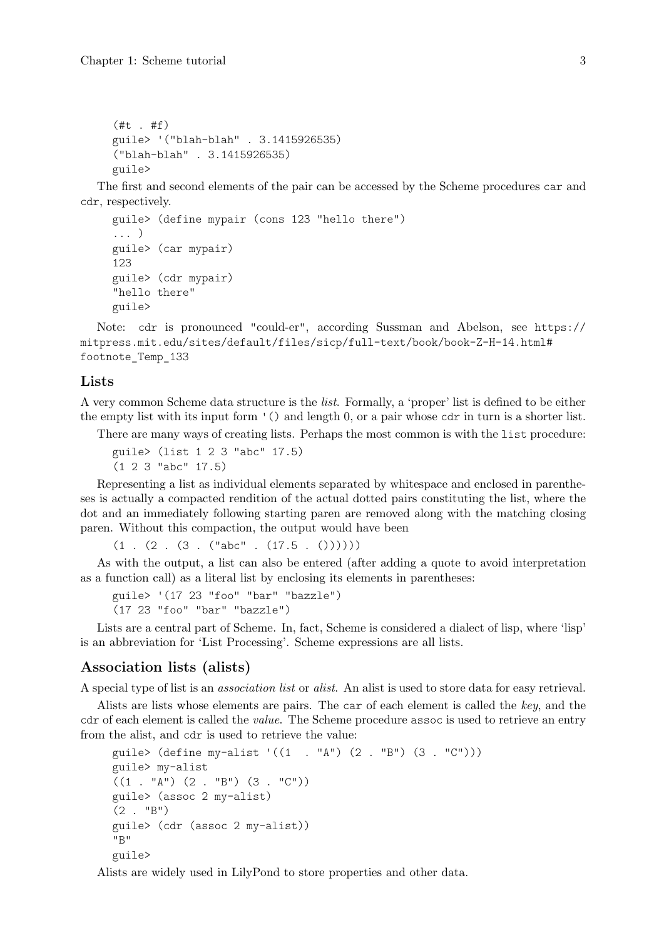```
(\#t + ff)guile> '("blah-blah" . 3.1415926535)
("blah-blah" . 3.1415926535)
guile>
```
The first and second elements of the pair can be accessed by the Scheme procedures car and cdr, respectively.

```
guile> (define mypair (cons 123 "hello there")
... )
guile> (car mypair)
123
guile> (cdr mypair)
"hello there"
guile>
```
Note: cdr is pronounced "could-er", according Sussman and Abelson, see [https://](https://mitpress.mit.edu/sites/default/files/sicp/full-text/book/book-Z-H-14.html#footnote_Temp_133) [mitpress.mit.edu/sites/default/files/sicp/full-text/book/book-Z-H-14.html#](https://mitpress.mit.edu/sites/default/files/sicp/full-text/book/book-Z-H-14.html#footnote_Temp_133) [footnote\\_Temp\\_133](https://mitpress.mit.edu/sites/default/files/sicp/full-text/book/book-Z-H-14.html#footnote_Temp_133)

#### Lists

A very common Scheme data structure is the list. Formally, a 'proper' list is defined to be either the empty list with its input form '() and length 0, or a pair whose cdr in turn is a shorter list.

There are many ways of creating lists. Perhaps the most common is with the list procedure:

```
guile> (list 1 2 3 "abc" 17.5)
(1 2 3 "abc" 17.5)
```
Representing a list as individual elements separated by whitespace and enclosed in parentheses is actually a compacted rendition of the actual dotted pairs constituting the list, where the dot and an immediately following starting paren are removed along with the matching closing paren. Without this compaction, the output would have been

 $(1$  .  $(2$  .  $(3$  .  $("abc"$  .  $(17.5 \t, ()))))$ 

As with the output, a list can also be entered (after adding a quote to avoid interpretation as a function call) as a literal list by enclosing its elements in parentheses:

```
guile> '(17 23 "foo" "bar" "bazzle")
(17 23 "foo" "bar" "bazzle")
```
Lists are a central part of Scheme. In, fact, Scheme is considered a dialect of lisp, where 'lisp' is an abbreviation for 'List Processing'. Scheme expressions are all lists.

## Association lists (alists)

A special type of list is an association list or alist. An alist is used to store data for easy retrieval.

Alists are lists whose elements are pairs. The car of each element is called the key, and the cdr of each element is called the *value*. The Scheme procedure assoc is used to retrieve an entry from the alist, and cdr is used to retrieve the value:

```
guile> \text{(define } mv\text{-alist } '((1 \cdot , "A") (2 \cdot "B") (3 \cdot "C"))guile> my-alist
((1 - "A") (2 - "B") (3 - "C")guile> (assoc 2 my-alist)
(2 \cdot "B")guile> (cdr (assoc 2 my-alist))
"B"
guile>
```
Alists are widely used in LilyPond to store properties and other data.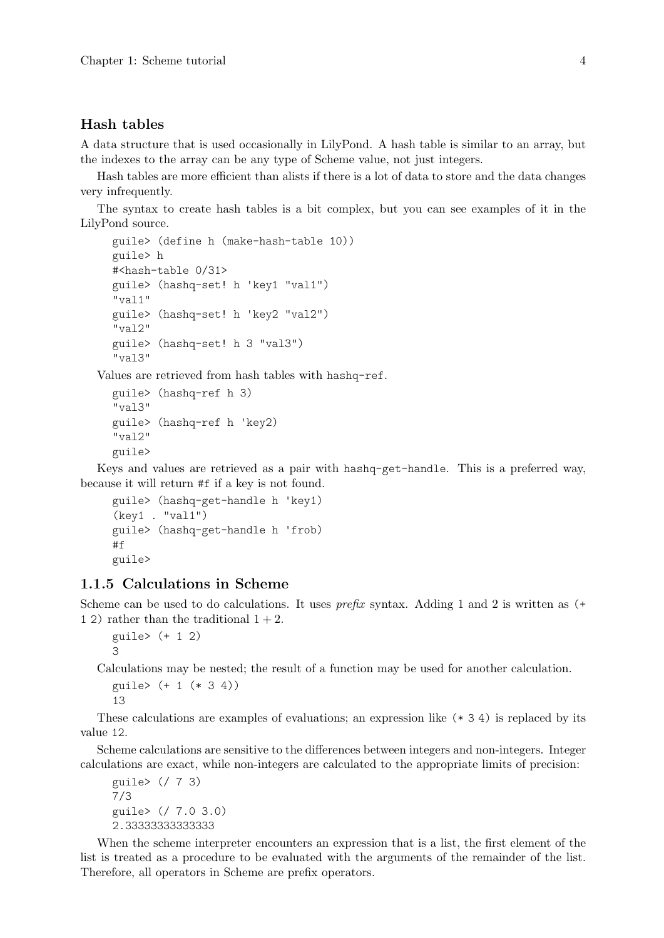#### <span id="page-6-0"></span>Hash tables

A data structure that is used occasionally in LilyPond. A hash table is similar to an array, but the indexes to the array can be any type of Scheme value, not just integers.

Hash tables are more efficient than alists if there is a lot of data to store and the data changes very infrequently.

The syntax to create hash tables is a bit complex, but you can see examples of it in the LilyPond source.

```
guile> (define h (make-hash-table 10))
guile> h
#<hash-table 0/31>
guile> (hashq-set! h 'key1 "val1")
"val1"
guile> (hashq-set! h 'key2 "val2")
"val2"
guile> (hashq-set! h 3 "val3")
"val3"
```
Values are retrieved from hash tables with hashq-ref.

```
guile> (hashq-ref h 3)
"val3"
guile> (hashq-ref h 'key2)
"val2"
guile>
```
Keys and values are retrieved as a pair with hashq-get-handle. This is a preferred way, because it will return #f if a key is not found.

```
guile> (hashq-get-handle h 'key1)
(key1 . "val1")
guile> (hashq-get-handle h 'frob)
#f
guile>
```
## 1.1.5 Calculations in Scheme

Scheme can be used to do calculations. It uses *prefix* syntax. Adding 1 and 2 is written as  $(+)$ 1 2) rather than the traditional  $1 + 2$ .

```
guile> (+ 1 2)
3
```
Calculations may be nested; the result of a function may be used for another calculation.

```
guile> (+ 1 (* 3 4))
13
```
These calculations are examples of evaluations; an expression like (\* 3 4) is replaced by its value 12.

Scheme calculations are sensitive to the differences between integers and non-integers. Integer calculations are exact, while non-integers are calculated to the appropriate limits of precision:

```
guile> (/ 7 3)
7/3
guile> (/ 7.0 3.0)
2.33333333333333
```
When the scheme interpreter encounters an expression that is a list, the first element of the list is treated as a procedure to be evaluated with the arguments of the remainder of the list. Therefore, all operators in Scheme are prefix operators.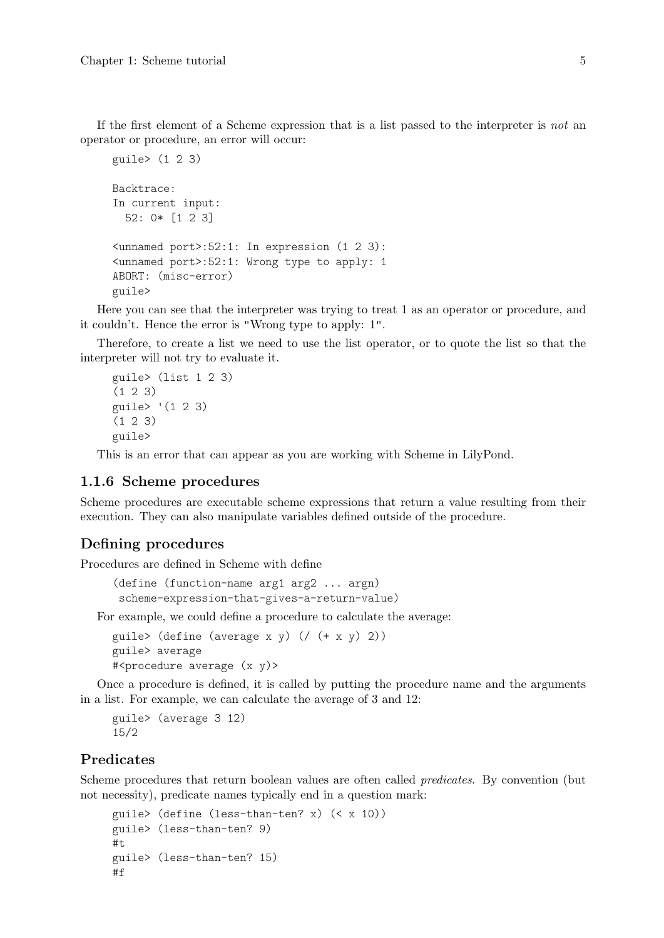<span id="page-7-0"></span>If the first element of a Scheme expression that is a list passed to the interpreter is not an operator or procedure, an error will occur:

```
guile> (1 2 3)
Backtrace:
In current input:
  52: 0* [1 2 3]
<unnamed port>:52:1: In expression (1 2 3):
<unnamed port>:52:1: Wrong type to apply: 1
ABORT: (misc-error)
guile>
```
Here you can see that the interpreter was trying to treat 1 as an operator or procedure, and it couldn't. Hence the error is "Wrong type to apply: 1".

Therefore, to create a list we need to use the list operator, or to quote the list so that the interpreter will not try to evaluate it.

```
guile> (list 1 2 3)
(1 2 3)
guile> '(1 2 3)
(1 2 3)
guile>
```
This is an error that can appear as you are working with Scheme in LilyPond.

## 1.1.6 Scheme procedures

Scheme procedures are executable scheme expressions that return a value resulting from their execution. They can also manipulate variables defined outside of the procedure.

## Defining procedures

Procedures are defined in Scheme with define

```
(define (function-name arg1 arg2 ... argn)
scheme-expression-that-gives-a-return-value)
```
For example, we could define a procedure to calculate the average:

```
guile> (define (average x y) (/ (+ x y) 2))
guile> average
#<procedure average (x, y)>
```
Once a procedure is defined, it is called by putting the procedure name and the arguments in a list. For example, we can calculate the average of 3 and 12:

```
guile> (average 3 12)
15/2
```
## Predicates

Scheme procedures that return boolean values are often called predicates. By convention (but not necessity), predicate names typically end in a question mark:

```
guile> (define (less-than-ten? x) (< x 10))
guile> (less-than-ten? 9)
#tguile> (less-than-ten? 15)
#f
```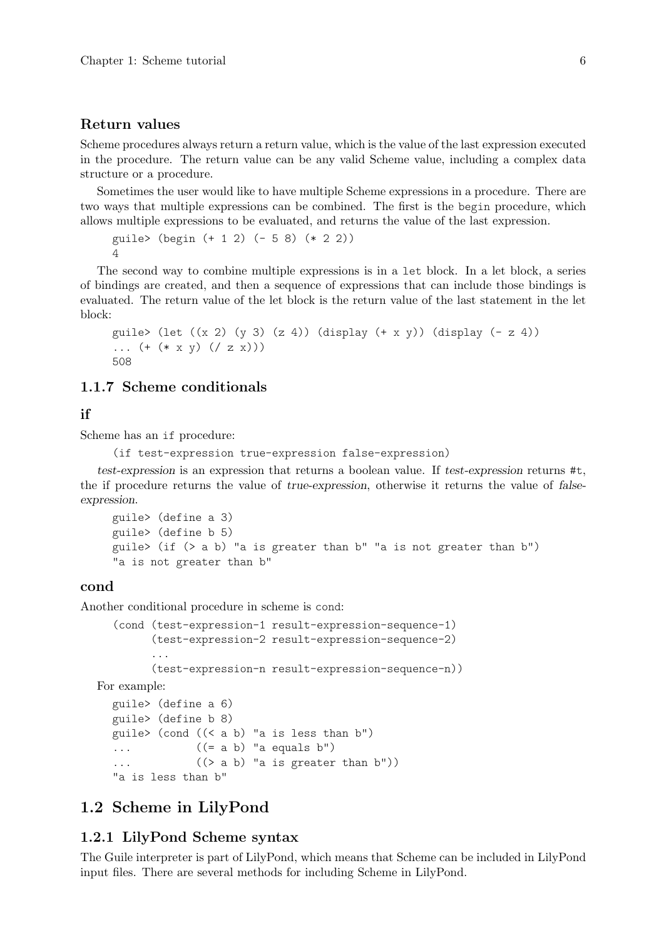#### <span id="page-8-0"></span>Return values

Scheme procedures always return a return value, which is the value of the last expression executed in the procedure. The return value can be any valid Scheme value, including a complex data structure or a procedure.

Sometimes the user would like to have multiple Scheme expressions in a procedure. There are two ways that multiple expressions can be combined. The first is the begin procedure, which allows multiple expressions to be evaluated, and returns the value of the last expression.

```
guile> (begin (+ 1 2) (- 5 8) (* 2 2))
\Delta
```
The second way to combine multiple expressions is in a let block. In a let block, a series of bindings are created, and then a sequence of expressions that can include those bindings is evaluated. The return value of the let block is the return value of the last statement in the let block:

```
guile> (let ((x 2) (y 3) (z 4)) (display (+ x y)) (display (- z 4))
... (+ (* x y) ((z x)))508
```
## 1.1.7 Scheme conditionals

## if

Scheme has an if procedure:

```
(if test-expression true-expression false-expression)
```
test-expression is an expression that returns a boolean value. If test-expression returns #t, the if procedure returns the value of true-expression, otherwise it returns the value of falseexpression.

```
guile> (define a 3)
guile> (define b 5)
guile> (if (> a b) "a is greater than b" "a is not greater than b")
"a is not greater than b"
```
### cond

Another conditional procedure in scheme is cond:

```
(cond (test-expression-1 result-expression-sequence-1)
      (test-expression-2 result-expression-sequence-2)
      ...
      (test-expression-n result-expression-sequence-n))
```
For example:

```
guile> (define a 6)
guile> (define b 8)
guile> (cond ((< a b) "a is less than b")
\ldots ((= a b) "a equals b")
... ((\gt a b) "a is greater than b'))
"a is less than b"
```
## 1.2 Scheme in LilyPond

## <span id="page-8-1"></span>1.2.1 LilyPond Scheme syntax

The Guile interpreter is part of LilyPond, which means that Scheme can be included in LilyPond input files. There are several methods for including Scheme in LilyPond.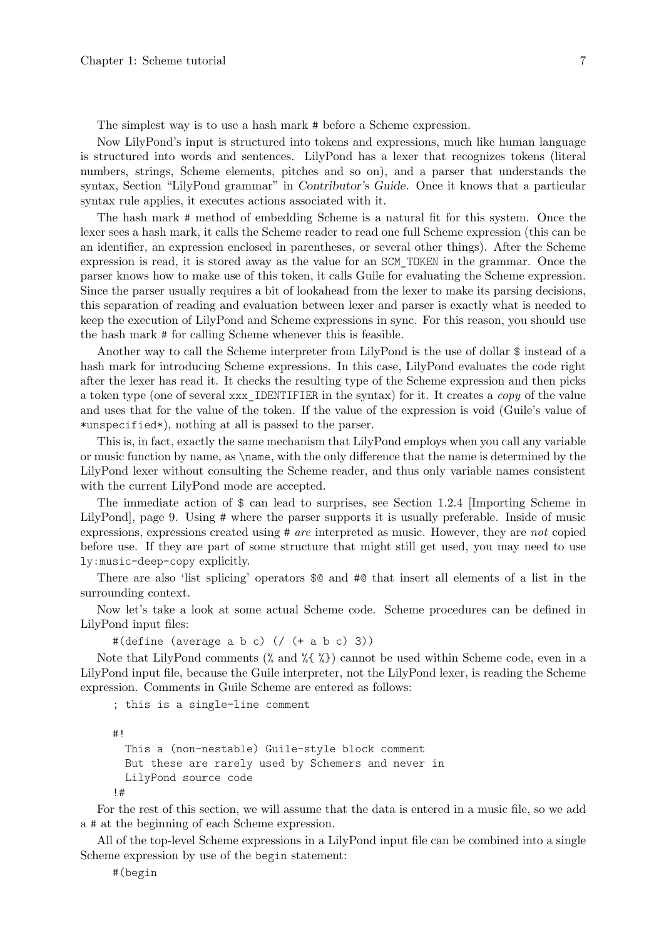<span id="page-9-0"></span>The simplest way is to use a hash mark # before a Scheme expression.

Now LilyPond's input is structured into tokens and expressions, much like human language is structured into words and sentences. LilyPond has a lexer that recognizes tokens (literal numbers, strings, Scheme elements, pitches and so on), and a parser that understands the syntax, Section "LilyPond grammar" in Contributor's Guide. Once it knows that a particular syntax rule applies, it executes actions associated with it.

The hash mark # method of embedding Scheme is a natural fit for this system. Once the lexer sees a hash mark, it calls the Scheme reader to read one full Scheme expression (this can be an identifier, an expression enclosed in parentheses, or several other things). After the Scheme expression is read, it is stored away as the value for an SCM\_TOKEN in the grammar. Once the parser knows how to make use of this token, it calls Guile for evaluating the Scheme expression. Since the parser usually requires a bit of lookahead from the lexer to make its parsing decisions, this separation of reading and evaluation between lexer and parser is exactly what is needed to keep the execution of LilyPond and Scheme expressions in sync. For this reason, you should use the hash mark # for calling Scheme whenever this is feasible.

Another way to call the Scheme interpreter from LilyPond is the use of dollar \$ instead of a hash mark for introducing Scheme expressions. In this case, LilyPond evaluates the code right after the lexer has read it. It checks the resulting type of the Scheme expression and then picks a token type (one of several xxx\_IDENTIFIER in the syntax) for it. It creates a copy of the value and uses that for the value of the token. If the value of the expression is void (Guile's value of \*unspecified\*), nothing at all is passed to the parser.

This is, in fact, exactly the same mechanism that LilyPond employs when you call any variable or music function by name, as \name, with the only difference that the name is determined by the LilyPond lexer without consulting the Scheme reader, and thus only variable names consistent with the current LilyPond mode are accepted.

The immediate action of \$ can lead to surprises, see [Section 1.2.4 \[Importing Scheme in](#page-11-1) [LilyPond\], page 9.](#page-11-1) Using # where the parser supports it is usually preferable. Inside of music expressions, expressions created using # are interpreted as music. However, they are not copied before use. If they are part of some structure that might still get used, you may need to use ly:music-deep-copy explicitly.

There are also 'list splicing' operators \$@ and #@ that insert all elements of a list in the surrounding context.

Now let's take a look at some actual Scheme code. Scheme procedures can be defined in LilyPond input files:

#(define (average a b c) (/ (+ a b c) 3))

Note that LilyPond comments (% and %{ %}) cannot be used within Scheme code, even in a LilyPond input file, because the Guile interpreter, not the LilyPond lexer, is reading the Scheme expression. Comments in Guile Scheme are entered as follows:

; this is a single-line comment

#!

```
This a (non-nestable) Guile-style block comment
 But these are rarely used by Schemers and never in
 LilyPond source code
!#
```
For the rest of this section, we will assume that the data is entered in a music file, so we add a # at the beginning of each Scheme expression.

All of the top-level Scheme expressions in a LilyPond input file can be combined into a single Scheme expression by use of the begin statement:

#(begin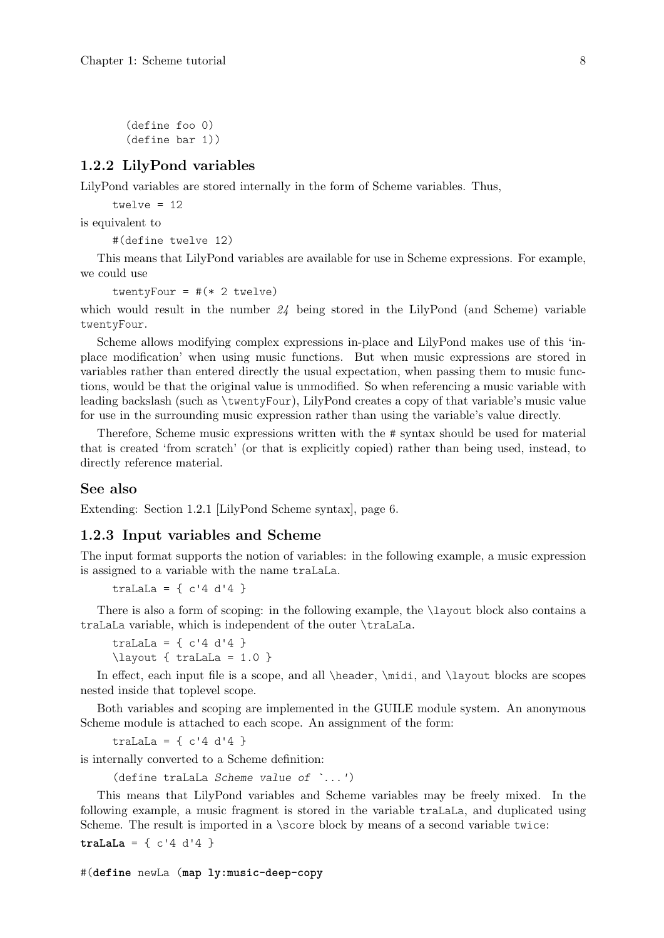<span id="page-10-0"></span>(define foo 0) (define bar 1))

## 1.2.2 LilyPond variables

LilyPond variables are stored internally in the form of Scheme variables. Thus,

twelve  $= 12$ 

is equivalent to

#(define twelve 12)

This means that LilyPond variables are available for use in Scheme expressions. For example, we could use

twentyFour =  $\#(* 2 \text{ twelve})$ 

which would result in the number  $24$  being stored in the LilyPond (and Scheme) variable twentyFour.

Scheme allows modifying complex expressions in-place and LilyPond makes use of this 'inplace modification' when using music functions. But when music expressions are stored in variables rather than entered directly the usual expectation, when passing them to music functions, would be that the original value is unmodified. So when referencing a music variable with leading backslash (such as \twentyFour), LilyPond creates a copy of that variable's music value for use in the surrounding music expression rather than using the variable's value directly.

Therefore, Scheme music expressions written with the # syntax should be used for material that is created 'from scratch' (or that is explicitly copied) rather than being used, instead, to directly reference material.

#### See also

Extending: [Section 1.2.1 \[LilyPond Scheme syntax\], page 6.](#page-8-1)

#### 1.2.3 Input variables and Scheme

The input format supports the notion of variables: in the following example, a music expression is assigned to a variable with the name traLaLa.

traLaLa =  $\{ c'4 d'4 \}$ 

There is also a form of scoping: in the following example, the \layout block also contains a traLaLa variable, which is independent of the outer \traLaLa.

traLaLa =  $\{ c'4 d'4 \}$ \layout { traLaLa = 1.0 }

In effect, each input file is a scope, and all \header, \midi, and \layout blocks are scopes nested inside that toplevel scope.

Both variables and scoping are implemented in the GUILE module system. An anonymous Scheme module is attached to each scope. An assignment of the form:

traLaLa =  $\{c'4 d'4 \}$ 

is internally converted to a Scheme definition:

(define traLaLa Scheme value of `...')

This means that LilyPond variables and Scheme variables may be freely mixed. In the following example, a music fragment is stored in the variable traLaLa, and duplicated using Scheme. The result is imported in a \score block by means of a second variable twice:

**traLaLa** = { $c'4 d'4$ }

#(**define** newLa (**map ly:music-deep-copy**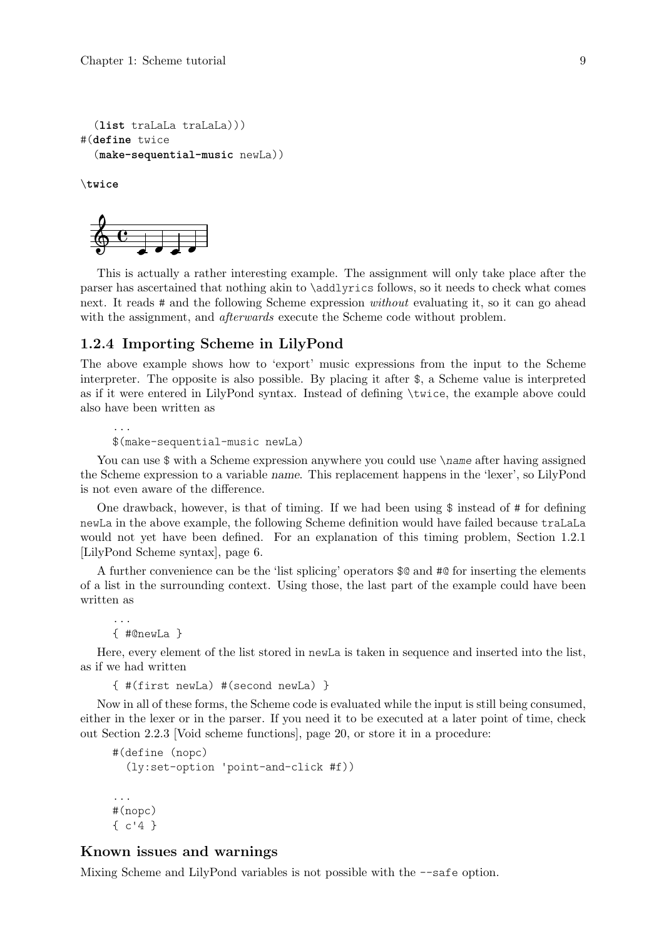```
(list traLaLa traLaLa)))
#(define twice
  (make-sequential-music newLa))
```
\**twice**



This is actually a rather interesting example. The assignment will only take place after the parser has ascertained that nothing akin to \addlyrics follows, so it needs to check what comes next. It reads # and the following Scheme expression *without* evaluating it, so it can go ahead with the assignment, and *afterwards* execute the Scheme code without problem.

#### <span id="page-11-1"></span>1.2.4 Importing Scheme in LilyPond

The above example shows how to 'export' music expressions from the input to the Scheme interpreter. The opposite is also possible. By placing it after \$, a Scheme value is interpreted as if it were entered in LilyPond syntax. Instead of defining \twice, the example above could also have been written as

```
...
$(make-sequential-music newLa)
```
You can use  $\frac{1}{3}$  with a Scheme expression anywhere you could use \name after having assigned the Scheme expression to a variable name. This replacement happens in the 'lexer', so LilyPond is not even aware of the difference.

One drawback, however, is that of timing. If we had been using  $\frac{1}{2}$  instead of # for defining newLa in the above example, the following Scheme definition would have failed because traLaLa would not yet have been defined. For an explanation of this timing problem, [Section 1.2.1](#page-8-1) [\[LilyPond Scheme syntax\], page 6.](#page-8-1)

A further convenience can be the 'list splicing' operators \$@ and #@ for inserting the elements of a list in the surrounding context. Using those, the last part of the example could have been written as

```
{ #@newLa }
```
...

Here, every element of the list stored in newLa is taken in sequence and inserted into the list, as if we had written

```
{ #(first newLa) #(second newLa) }
```
Now in all of these forms, the Scheme code is evaluated while the input is still being consumed, either in the lexer or in the parser. If you need it to be executed at a later point of time, check out [Section 2.2.3 \[Void scheme functions\], page 20,](#page-22-1) or store it in a procedure:

```
#(define (nopc)
  (ly:set-option 'point-and-click #f))
...
#(nopc)
{ c'4 }
```
## Known issues and warnings

Mixing Scheme and LilyPond variables is not possible with the --safe option.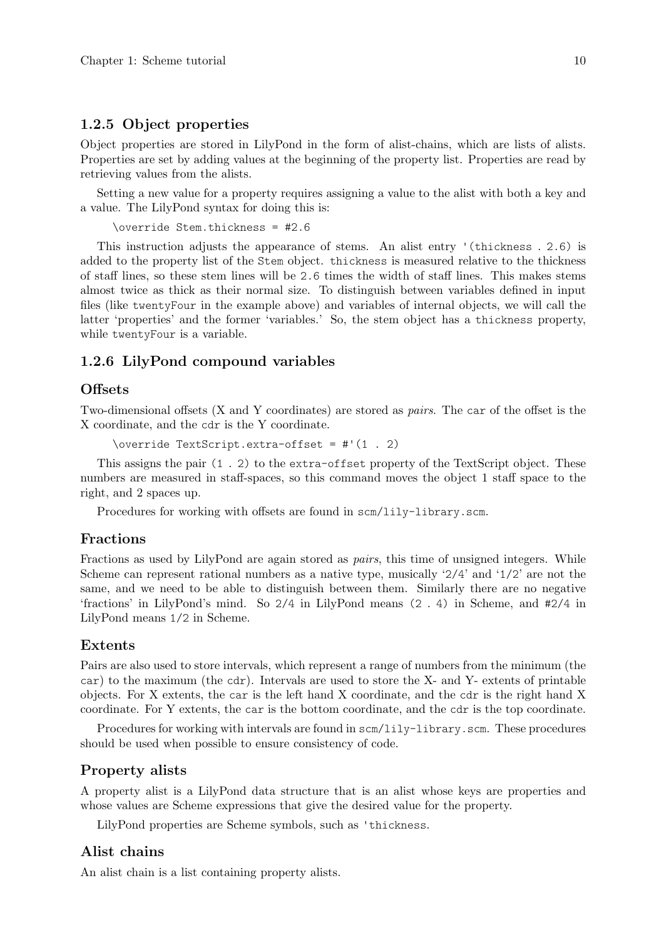## <span id="page-12-0"></span>1.2.5 Object properties

Object properties are stored in LilyPond in the form of alist-chains, which are lists of alists. Properties are set by adding values at the beginning of the property list. Properties are read by retrieving values from the alists.

Setting a new value for a property requires assigning a value to the alist with both a key and a value. The LilyPond syntax for doing this is:

```
\override Stem.thickness = #2.6
```
This instruction adjusts the appearance of stems. An alist entry '(thickness . 2.6) is added to the property list of the Stem object. thickness is measured relative to the thickness of staff lines, so these stem lines will be 2.6 times the width of staff lines. This makes stems almost twice as thick as their normal size. To distinguish between variables defined in input files (like twentyFour in the example above) and variables of internal objects, we will call the latter 'properties' and the former 'variables.' So, the stem object has a thickness property, while twentyFour is a variable.

## 1.2.6 LilyPond compound variables

## **Offsets**

Two-dimensional offsets (X and Y coordinates) are stored as pairs. The car of the offset is the X coordinate, and the cdr is the Y coordinate.

\override TextScript.extra-offset = #'(1 . 2)

This assigns the pair (1 . 2) to the extra-offset property of the TextScript object. These numbers are measured in staff-spaces, so this command moves the object 1 staff space to the right, and 2 spaces up.

Procedures for working with offsets are found in scm/lily-library.scm.

#### Fractions

Fractions as used by LilyPond are again stored as *pairs*, this time of unsigned integers. While Scheme can represent rational numbers as a native type, musically  $2/4$  and  $1/2$  are not the same, and we need to be able to distinguish between them. Similarly there are no negative 'fractions' in LilyPond's mind. So 2/4 in LilyPond means (2 . 4) in Scheme, and #2/4 in LilyPond means 1/2 in Scheme.

#### Extents

Pairs are also used to store intervals, which represent a range of numbers from the minimum (the car) to the maximum (the cdr). Intervals are used to store the X- and Y- extents of printable objects. For X extents, the car is the left hand X coordinate, and the cdr is the right hand X coordinate. For Y extents, the car is the bottom coordinate, and the cdr is the top coordinate.

Procedures for working with intervals are found in scm/lily-library.scm. These procedures should be used when possible to ensure consistency of code.

## Property alists

A property alist is a LilyPond data structure that is an alist whose keys are properties and whose values are Scheme expressions that give the desired value for the property.

LilyPond properties are Scheme symbols, such as 'thickness.

## Alist chains

An alist chain is a list containing property alists.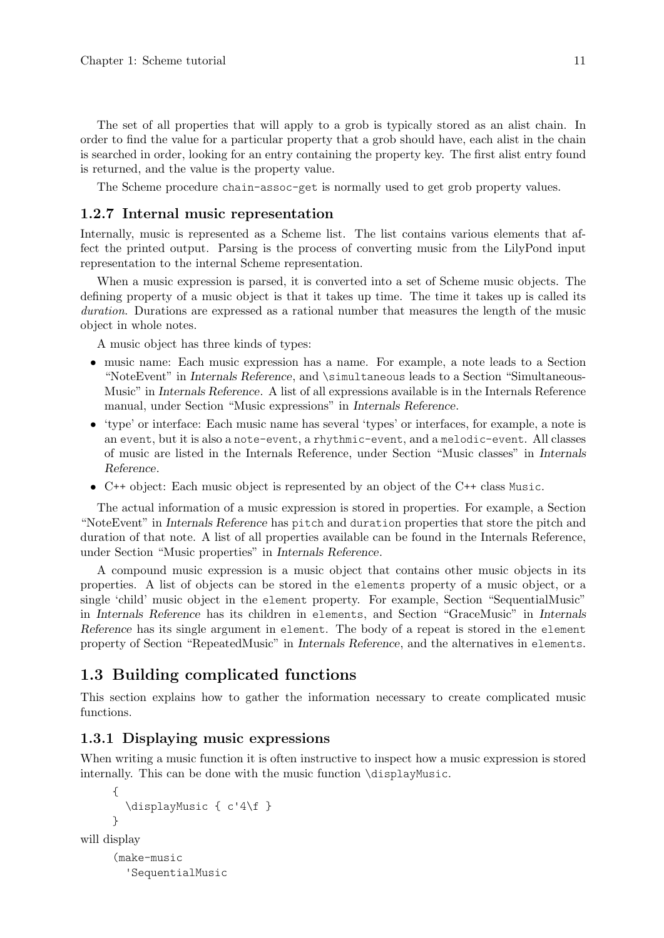<span id="page-13-0"></span>The set of all properties that will apply to a grob is typically stored as an alist chain. In order to find the value for a particular property that a grob should have, each alist in the chain is searched in order, looking for an entry containing the property key. The first alist entry found is returned, and the value is the property value.

The Scheme procedure chain-assoc-get is normally used to get grob property values.

## 1.2.7 Internal music representation

Internally, music is represented as a Scheme list. The list contains various elements that affect the printed output. Parsing is the process of converting music from the LilyPond input representation to the internal Scheme representation.

When a music expression is parsed, it is converted into a set of Scheme music objects. The defining property of a music object is that it takes up time. The time it takes up is called its duration. Durations are expressed as a rational number that measures the length of the music object in whole notes.

A music object has three kinds of types:

- music name: Each music expression has a name. For example, a note leads to a Section "NoteEvent" in Internals Reference, and \simultaneous leads to a Section "Simultaneous-Music" in Internals Reference. A list of all expressions available is in the Internals Reference manual, under Section "Music expressions" in Internals Reference.
- 'type' or interface: Each music name has several 'types' or interfaces, for example, a note is an event, but it is also a note-event, a rhythmic-event, and a melodic-event. All classes of music are listed in the Internals Reference, under Section "Music classes" in Internals Reference.
- C++ object: Each music object is represented by an object of the C++ class Music.

The actual information of a music expression is stored in properties. For example, a Section "NoteEvent" in Internals Reference has pitch and duration properties that store the pitch and duration of that note. A list of all properties available can be found in the Internals Reference, under [Section "Music properties" in](#page-14-1) Internals Reference.

A compound music expression is a music object that contains other music objects in its properties. A list of objects can be stored in the elements property of a music object, or a single 'child' music object in the element property. For example, Section "SequentialMusic" in Internals Reference has its children in elements, and Section "GraceMusic" in Internals Reference has its single argument in element. The body of a repeat is stored in the element property of Section "RepeatedMusic" in Internals Reference, and the alternatives in elements.

## 1.3 Building complicated functions

This section explains how to gather the information necessary to create complicated music functions.

## <span id="page-13-1"></span>1.3.1 Displaying music expressions

When writing a music function it is often instructive to inspect how a music expression is stored internally. This can be done with the music function \displayMusic.

```
{
        \displayMusic { c'4\f }
     }
will display
     (make-music
```
'SequentialMusic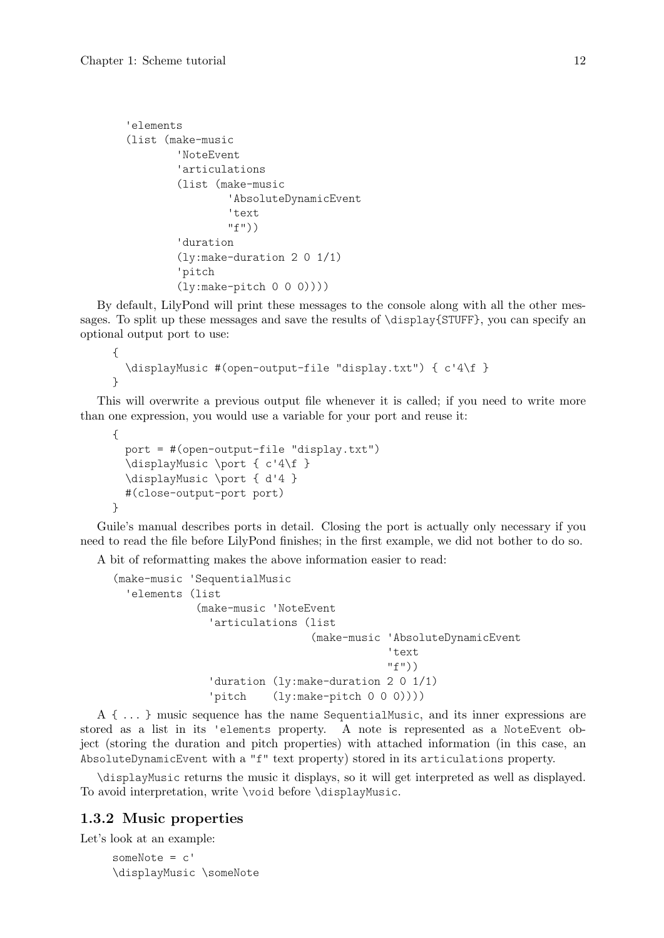```
'elements
(list (make-music
        'NoteEvent
        'articulations
        (list (make-music
                'AbsoluteDynamicEvent
                'text
                "f"))
        'duration
        (ly:make-duration 2 0 1/1)
        'pitch
        (ly:make-pitch 0 0 0))))
```
By default, LilyPond will print these messages to the console along with all the other messages. To split up these messages and save the results of \display{STUFF}, you can specify an optional output port to use:

```
{
  \displayMusic #(open-output-file "display.txt") { c'4\f }
}
```
This will overwrite a previous output file whenever it is called; if you need to write more than one expression, you would use a variable for your port and reuse it:

```
{
  port = #(open-output-file "display.txt")
  \displayMusic \port { c'4\f }
  \displayMusic \port { d'4 }
  #(close-output-port port)
}
```
Guile's manual describes ports in detail. Closing the port is actually only necessary if you need to read the file before LilyPond finishes; in the first example, we did not bother to do so.

A bit of reformatting makes the above information easier to read:

```
(make-music 'SequentialMusic
  'elements (list
             (make-music 'NoteEvent
               'articulations (list
                               (make-music 'AbsoluteDynamicEvent
                                            'text
                                            "f"))
               'duration (ly:make-duration 2 0 1/1)
               'pitch (ly:make-pitch 0 0 0))))
```
A { ... } music sequence has the name SequentialMusic, and its inner expressions are stored as a list in its 'elements property. A note is represented as a NoteEvent object (storing the duration and pitch properties) with attached information (in this case, an AbsoluteDynamicEvent with a "f" text property) stored in its articulations property.

\displayMusic returns the music it displays, so it will get interpreted as well as displayed. To avoid interpretation, write \void before \displayMusic.

## <span id="page-14-1"></span>1.3.2 Music properties

Let's look at an example:

someNote = c' \displayMusic \someNote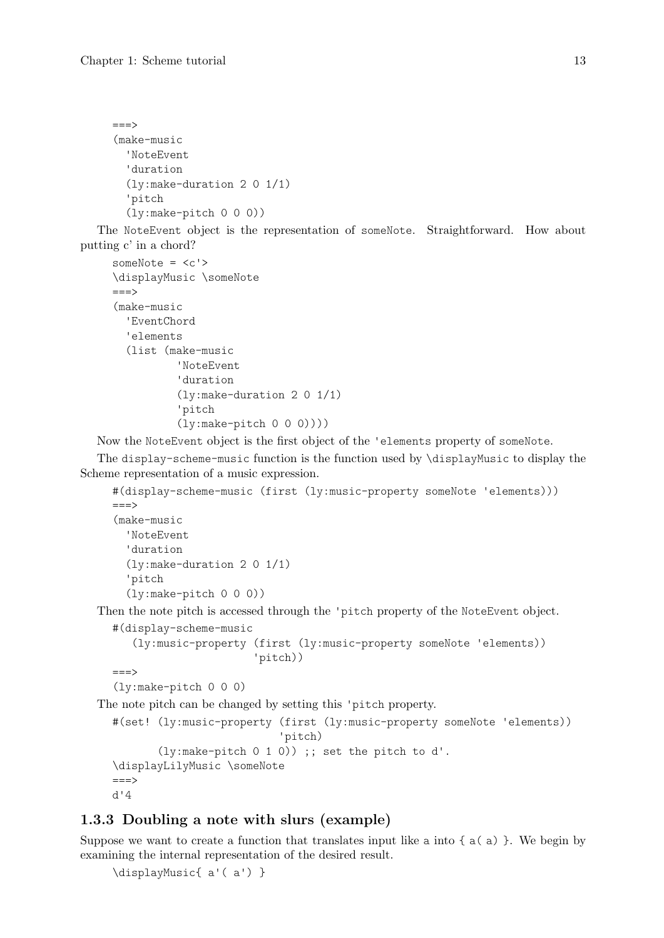```
===(make-music
  'NoteEvent
  'duration
  (ly:make-duration 2 0 1/1)
  'pitch
  (ly:make-pitch 0 0 0))
```
The NoteEvent object is the representation of someNote. Straightforward. How about putting c' in a chord?

```
someNote = \langle c' \rangle\displayMusic \someNote
==-\times(make-music
  'EventChord
  'elements
  (list (make-music
           'NoteEvent
           'duration
           (ly:make-duration 2 0 1/1)
           'pitch
           (ly:make-pitch 0 0 0))))
```
Now the NoteEvent object is the first object of the 'elements property of someNote.

The display-scheme-music function is the function used by \displayMusic to display the Scheme representation of a music expression.

```
#(display-scheme-music (first (ly:music-property someNote 'elements)))
=-=(make-music
  'NoteEvent
  'duration
  (ly:make-duration 2 0 1/1)
  'pitch
  (ly:make-pitch 0 0 0))
```
Then the note pitch is accessed through the 'pitch property of the NoteEvent object.

```
#(display-scheme-music
   (ly:music-property (first (ly:music-property someNote 'elements))
                      'pitch))
```

```
===>
```

```
(ly:make-pitch 0 0 0)
```
The note pitch can be changed by setting this 'pitch property.

```
#(set! (ly:music-property (first (ly:music-property someNote 'elements))
                           'pitch)
       (ly:make-pitch 0 1 0)) ;; set the pitch to d'.
\displayLilyMusic \someNote
==->d'4
```
## 1.3.3 Doubling a note with slurs (example)

Suppose we want to create a function that translates input like a into  $\{a(a)\}\.$  We begin by examining the internal representation of the desired result.

\displayMusic{ a'( a') }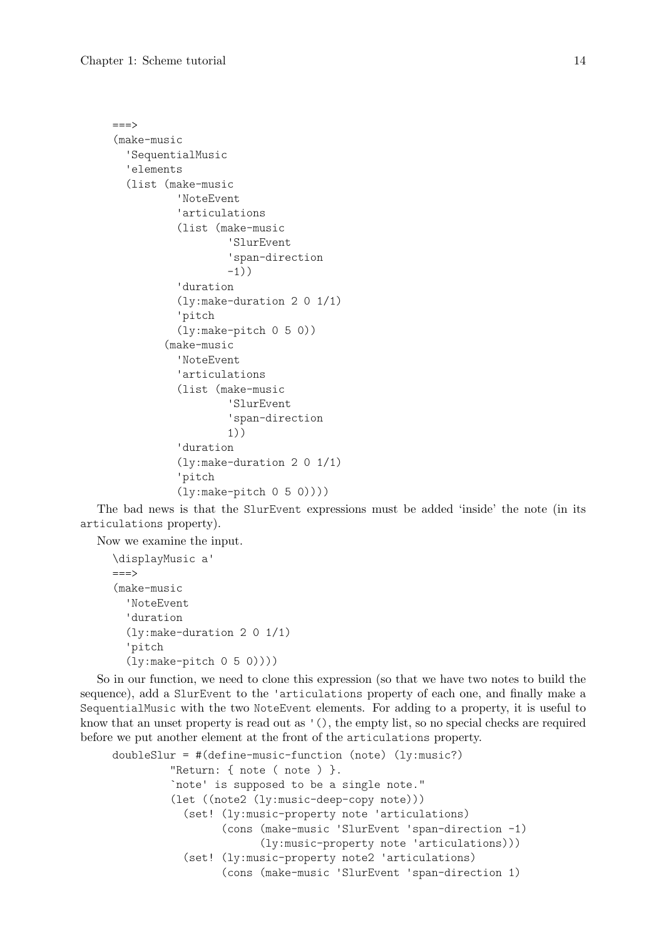```
===(make-music
  'SequentialMusic
  'elements
  (list (make-music
          'NoteEvent
          'articulations
          (list (make-music
                   'SlurEvent
                   'span-direction
                  -1))
          'duration
          (ly:make-duration 2 0 1/1)
          'pitch
          (ly:make-pitch 0 5 0))
        (make-music
          'NoteEvent
          'articulations
          (list (make-music
                   'SlurEvent
                   'span-direction
                  1))
          'duration
          (ly:make-duration 2 0 1/1)
          'pitch
          (ly:make-pitch 0 5 0))))
```
The bad news is that the SlurEvent expressions must be added 'inside' the note (in its articulations property).

Now we examine the input.

```
\displayMusic a'
=(make-music
  'NoteEvent
  'duration
  (ly:make-duration 2 0 1/1)
  'pitch
  (ly:make-pitch 0 5 0))))
```
So in our function, we need to clone this expression (so that we have two notes to build the sequence), add a SlurEvent to the 'articulations property of each one, and finally make a SequentialMusic with the two NoteEvent elements. For adding to a property, it is useful to know that an unset property is read out as '(), the empty list, so no special checks are required before we put another element at the front of the articulations property.

```
doubleSlur = #(define-music-function (note) (ly:music?)
         "Return: { note ( note ) }.
         `note' is supposed to be a single note."
         (let ((note2 (ly:music-deep-copy note)))
           (set! (ly:music-property note 'articulations)
                 (cons (make-music 'SlurEvent 'span-direction -1)
                       (ly:music-property note 'articulations)))
           (set! (ly:music-property note2 'articulations)
                 (cons (make-music 'SlurEvent 'span-direction 1)
```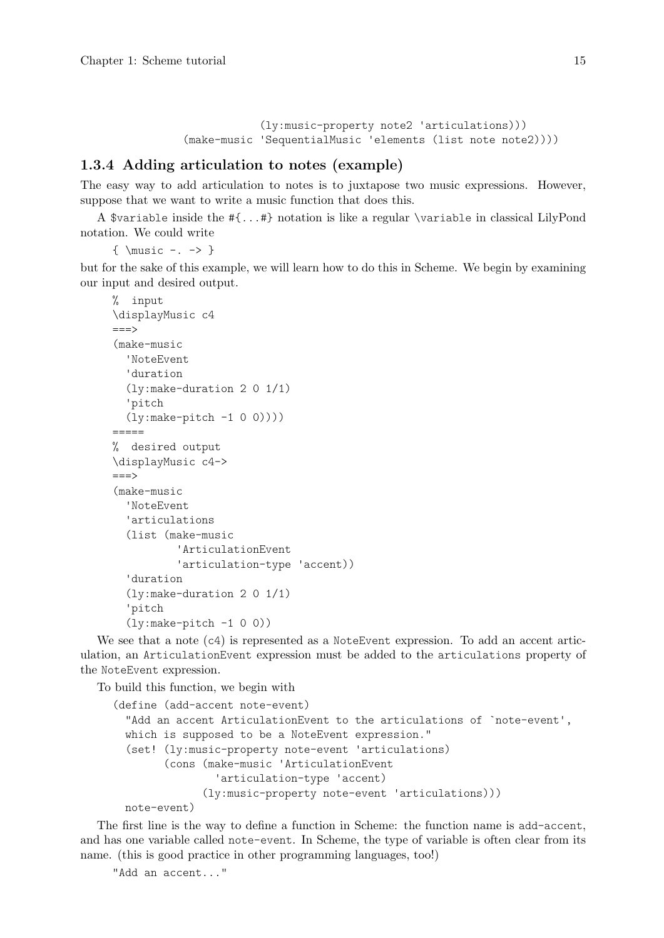(ly:music-property note2 'articulations))) (make-music 'SequentialMusic 'elements (list note note2))))

## <span id="page-17-0"></span>1.3.4 Adding articulation to notes (example)

The easy way to add articulation to notes is to juxtapose two music expressions. However, suppose that we want to write a music function that does this.

A \$variable inside the #{...#} notation is like a regular \variable in classical LilyPond notation. We could write

 $\{ \text{music -.} \}$ 

but for the sake of this example, we will learn how to do this in Scheme. We begin by examining our input and desired output.

```
% input
\displayMusic c4
===>
(make-music
  'NoteEvent
  'duration
  (ly:make-duration 2 0 1/1)
  'pitch
  (ly:make-pitch -1 0 0))))
=====
% desired output
\displayMusic c4->
==->(make-music
  'NoteEvent
  'articulations
  (list (make-music
          'ArticulationEvent
          'articulation-type 'accent))
  'duration
  (ly:make-duration 2 0 1/1)
  'pitch
  (ly:make-pitch -1 0 0))
```
We see that a note (c4) is represented as a NoteEvent expression. To add an accent articulation, an ArticulationEvent expression must be added to the articulations property of the NoteEvent expression.

To build this function, we begin with

```
(define (add-accent note-event)
  "Add an accent ArticulationEvent to the articulations of `note-event',
 which is supposed to be a NoteEvent expression."
  (set! (ly:music-property note-event 'articulations)
        (cons (make-music 'ArticulationEvent
                'articulation-type 'accent)
              (ly:music-property note-event 'articulations)))
```
note-event)

The first line is the way to define a function in Scheme: the function name is add-accent, and has one variable called note-event. In Scheme, the type of variable is often clear from its name. (this is good practice in other programming languages, too!)

```
"Add an accent..."
```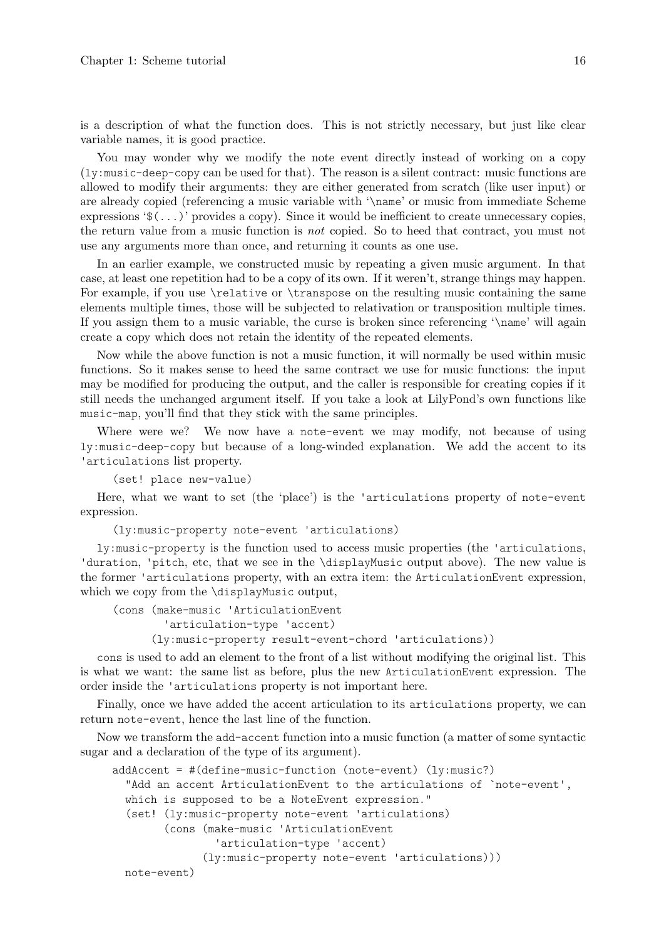is a description of what the function does. This is not strictly necessary, but just like clear variable names, it is good practice.

You may wonder why we modify the note event directly instead of working on a copy (ly:music-deep-copy can be used for that). The reason is a silent contract: music functions are allowed to modify their arguments: they are either generated from scratch (like user input) or are already copied (referencing a music variable with '\name' or music from immediate Scheme expressions  $\mathcal{F}(\ldots)$  provides a copy). Since it would be inefficient to create unnecessary copies, the return value from a music function is not copied. So to heed that contract, you must not use any arguments more than once, and returning it counts as one use.

In an earlier example, we constructed music by repeating a given music argument. In that case, at least one repetition had to be a copy of its own. If it weren't, strange things may happen. For example, if you use \relative or \transpose on the resulting music containing the same elements multiple times, those will be subjected to relativation or transposition multiple times. If you assign them to a music variable, the curse is broken since referencing '\name' will again create a copy which does not retain the identity of the repeated elements.

Now while the above function is not a music function, it will normally be used within music functions. So it makes sense to heed the same contract we use for music functions: the input may be modified for producing the output, and the caller is responsible for creating copies if it still needs the unchanged argument itself. If you take a look at LilyPond's own functions like music-map, you'll find that they stick with the same principles.

Where were we? We now have a note-event we may modify, not because of using ly:music-deep-copy but because of a long-winded explanation. We add the accent to its 'articulations list property.

(set! place new-value)

Here, what we want to set (the 'place') is the 'articulations property of note-event expression.

(ly:music-property note-event 'articulations)

ly:music-property is the function used to access music properties (the 'articulations, 'duration, 'pitch, etc, that we see in the \displayMusic output above). The new value is the former 'articulations property, with an extra item: the ArticulationEvent expression, which we copy from the \displayMusic output,

(cons (make-music 'ArticulationEvent 'articulation-type 'accent) (ly:music-property result-event-chord 'articulations))

cons is used to add an element to the front of a list without modifying the original list. This is what we want: the same list as before, plus the new ArticulationEvent expression. The order inside the 'articulations property is not important here.

Finally, once we have added the accent articulation to its articulations property, we can return note-event, hence the last line of the function.

Now we transform the add-accent function into a music function (a matter of some syntactic sugar and a declaration of the type of its argument).

```
addAccent = #(define-music-function (note-event) (ly:music?)
 "Add an accent ArticulationEvent to the articulations of `note-event',
 which is supposed to be a NoteEvent expression."
  (set! (ly:music-property note-event 'articulations)
        (cons (make-music 'ArticulationEvent
                'articulation-type 'accent)
              (ly:music-property note-event 'articulations)))
 note-event)
```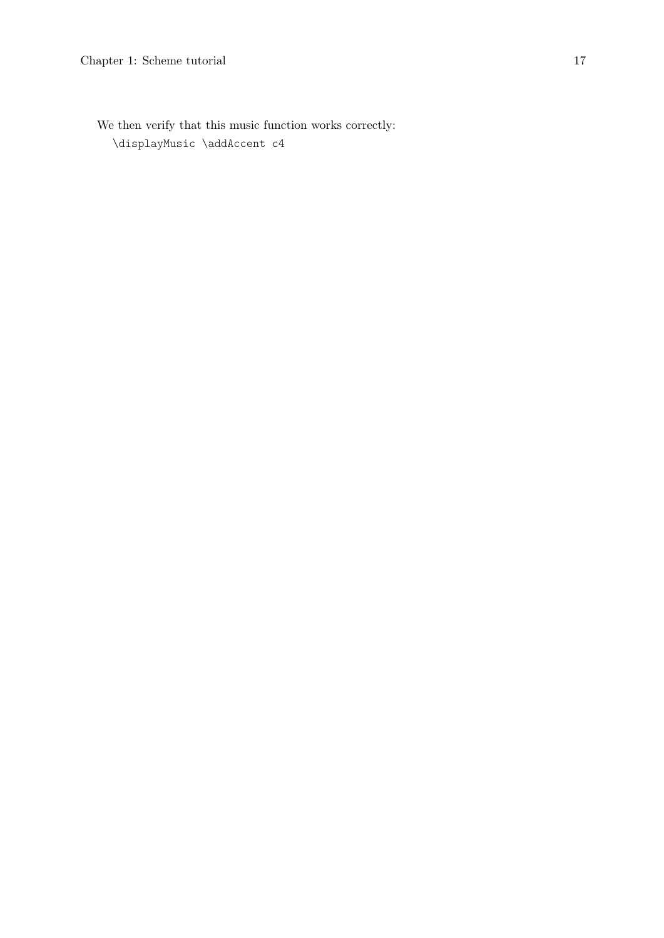We then verify that this music function works correctly: \displayMusic \addAccent c4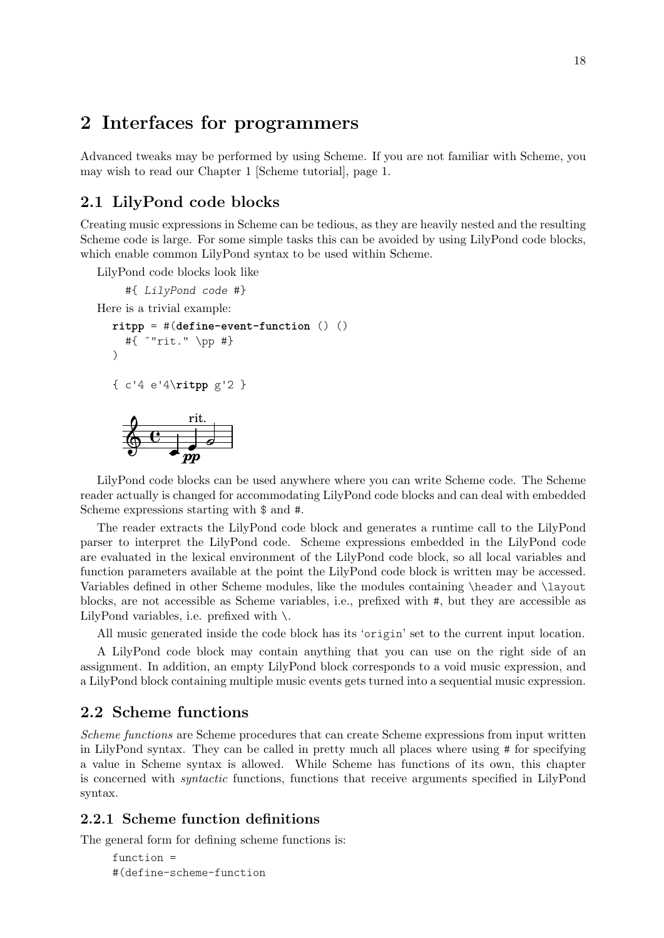## <span id="page-20-0"></span>2 Interfaces for programmers

Advanced tweaks may be performed by using Scheme. If you are not familiar with Scheme, you may wish to read our [Chapter 1 \[Scheme tutorial\], page 1.](#page-3-0)

## <span id="page-20-1"></span>2.1 LilyPond code blocks

Creating music expressions in Scheme can be tedious, as they are heavily nested and the resulting Scheme code is large. For some simple tasks this can be avoided by using LilyPond code blocks, which enable common LilyPond syntax to be used within Scheme.

LilyPond code blocks look like

#{ LilyPond code #} Here is a trivial example: **ritpp** = #(**define-event-function** () () #{ ˆ"rit." \pp #}  $\lambda$ 

```
{ c'4 e'4\ritpp g'2 }
```

|  |    | rit. |  |
|--|----|------|--|
|  |    |      |  |
|  |    |      |  |
|  | DД |      |  |

LilyPond code blocks can be used anywhere where you can write Scheme code. The Scheme reader actually is changed for accommodating LilyPond code blocks and can deal with embedded Scheme expressions starting with \$ and #.

The reader extracts the LilyPond code block and generates a runtime call to the LilyPond parser to interpret the LilyPond code. Scheme expressions embedded in the LilyPond code are evaluated in the lexical environment of the LilyPond code block, so all local variables and function parameters available at the point the LilyPond code block is written may be accessed. Variables defined in other Scheme modules, like the modules containing \header and \layout blocks, are not accessible as Scheme variables, i.e., prefixed with #, but they are accessible as LilyPond variables, i.e. prefixed with  $\setminus$ .

All music generated inside the code block has its 'origin' set to the current input location.

A LilyPond code block may contain anything that you can use on the right side of an assignment. In addition, an empty LilyPond block corresponds to a void music expression, and a LilyPond block containing multiple music events gets turned into a sequential music expression.

## 2.2 Scheme functions

Scheme functions are Scheme procedures that can create Scheme expressions from input written in LilyPond syntax. They can be called in pretty much all places where using # for specifying a value in Scheme syntax is allowed. While Scheme has functions of its own, this chapter is concerned with syntactic functions, functions that receive arguments specified in LilyPond syntax.

## <span id="page-20-2"></span>2.2.1 Scheme function definitions

The general form for defining scheme functions is:

```
function =
#(define-scheme-function
```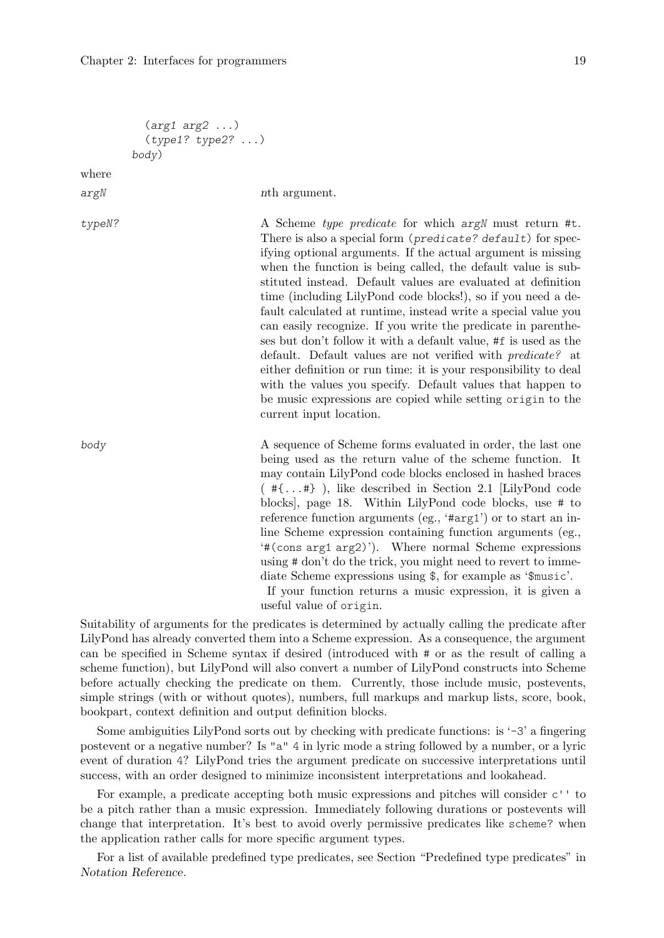```
(arg1 arg2 ...)
           (type1? type2? ...)
         body)
where
argN nth argument.
typeN? A Scheme type predicate for which argN must return #t.
                               There is also a special form (predicate? default) for spec-
                               ifying optional arguments. If the actual argument is missing
                               when the function is being called, the default value is sub-
                               stituted instead. Default values are evaluated at definition
                               time (including LilyPond code blocks!), so if you need a de-
                               fault calculated at runtime, instead write a special value you
                               can easily recognize. If you write the predicate in parenthe-
                               ses but don't follow it with a default value, #f is used as the
                               default. Default values are not verified with predicate? at
                               either definition or run time: it is your responsibility to deal
                               with the values you specify. Default values that happen to
                               be music expressions are copied while setting origin to the
                               current input location.
body A sequence of Scheme forms evaluated in order, the last one
                               being used as the return value of the scheme function. It
                               may contain LilyPond code blocks enclosed in hashed braces
                               ( #{...#} ), like described in Section 2.1 [LilyPond code
                               blocks], page 18. Within LilyPond code blocks, use # to
                               reference function arguments (eg., '#arg1') or to start an in-
                               line Scheme expression containing function arguments (eg.,
                               '#(cons arg1 arg2)'). Where normal Scheme expressions
                               using # don't do the trick, you might need to revert to imme-
                               diate Scheme expressions using $, for example as '$music'.
                                If your function returns a music expression, it is given a
                               useful value of origin.
```
Suitability of arguments for the predicates is determined by actually calling the predicate after LilyPond has already converted them into a Scheme expression. As a consequence, the argument can be specified in Scheme syntax if desired (introduced with # or as the result of calling a scheme function), but LilyPond will also convert a number of LilyPond constructs into Scheme before actually checking the predicate on them. Currently, those include music, postevents, simple strings (with or without quotes), numbers, full markups and markup lists, score, book, bookpart, context definition and output definition blocks.

Some ambiguities LilyPond sorts out by checking with predicate functions: is  $-3$  a fingering postevent or a negative number? Is "a" 4 in lyric mode a string followed by a number, or a lyric event of duration 4? LilyPond tries the argument predicate on successive interpretations until success, with an order designed to minimize inconsistent interpretations and lookahead.

For example, a predicate accepting both music expressions and pitches will consider c'' to be a pitch rather than a music expression. Immediately following durations or postevents will change that interpretation. It's best to avoid overly permissive predicates like scheme? when the application rather calls for more specific argument types.

For a list of available predefined type predicates, see Section "Predefined type predicates" in Notation Reference.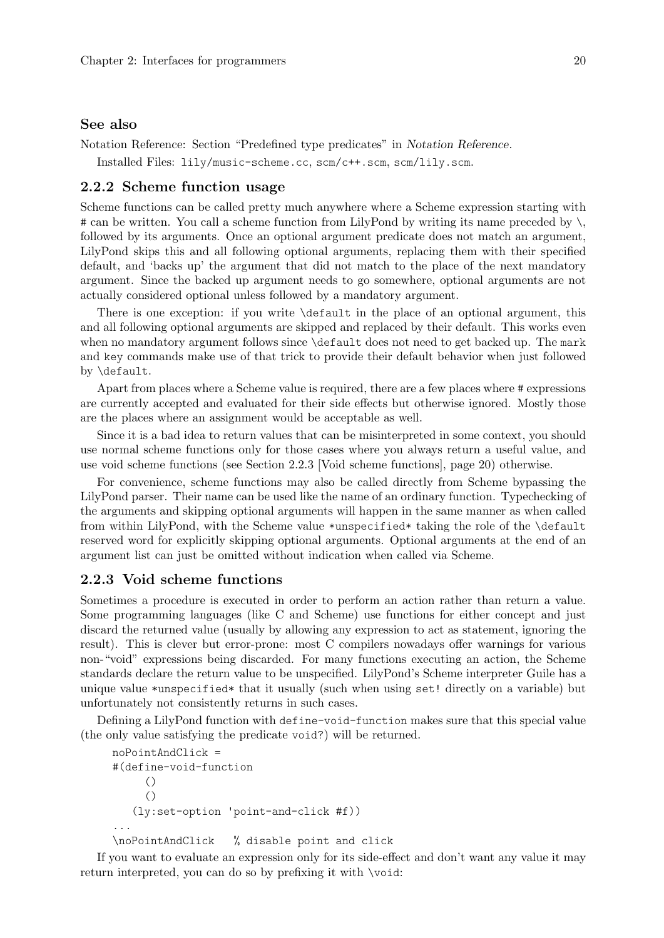#### <span id="page-22-0"></span>See also

Notation Reference: Section "Predefined type predicates" in Notation Reference.

Installed Files: lily/music-scheme.cc, scm/c++.scm, scm/lily.scm.

#### <span id="page-22-2"></span>2.2.2 Scheme function usage

Scheme functions can be called pretty much anywhere where a Scheme expression starting with # can be written. You call a scheme function from LilyPond by writing its name preceded by  $\setminus$ , followed by its arguments. Once an optional argument predicate does not match an argument, LilyPond skips this and all following optional arguments, replacing them with their specified default, and 'backs up' the argument that did not match to the place of the next mandatory argument. Since the backed up argument needs to go somewhere, optional arguments are not actually considered optional unless followed by a mandatory argument.

There is one exception: if you write \default in the place of an optional argument, this and all following optional arguments are skipped and replaced by their default. This works even when no mandatory argument follows since \default does not need to get backed up. The mark and key commands make use of that trick to provide their default behavior when just followed by \default.

Apart from places where a Scheme value is required, there are a few places where # expressions are currently accepted and evaluated for their side effects but otherwise ignored. Mostly those are the places where an assignment would be acceptable as well.

Since it is a bad idea to return values that can be misinterpreted in some context, you should use normal scheme functions only for those cases where you always return a useful value, and use void scheme functions (see [Section 2.2.3 \[Void scheme functions\], page 20](#page-22-1)) otherwise.

For convenience, scheme functions may also be called directly from Scheme bypassing the LilyPond parser. Their name can be used like the name of an ordinary function. Typechecking of the arguments and skipping optional arguments will happen in the same manner as when called from within LilyPond, with the Scheme value \*unspecified\* taking the role of the \default reserved word for explicitly skipping optional arguments. Optional arguments at the end of an argument list can just be omitted without indication when called via Scheme.

## <span id="page-22-1"></span>2.2.3 Void scheme functions

Sometimes a procedure is executed in order to perform an action rather than return a value. Some programming languages (like C and Scheme) use functions for either concept and just discard the returned value (usually by allowing any expression to act as statement, ignoring the result). This is clever but error-prone: most C compilers nowadays offer warnings for various non-"void" expressions being discarded. For many functions executing an action, the Scheme standards declare the return value to be unspecified. LilyPond's Scheme interpreter Guile has a unique value \*unspecified\* that it usually (such when using set! directly on a variable) but unfortunately not consistently returns in such cases.

Defining a LilyPond function with define-void-function makes sure that this special value (the only value satisfying the predicate void?) will be returned.

```
noPointAndClick =
#(define-void-function
     ()
     ()
   (ly:set-option 'point-and-click #f))
...
\noPointAndClick % disable point and click
```
If you want to evaluate an expression only for its side-effect and don't want any value it may return interpreted, you can do so by prefixing it with \void: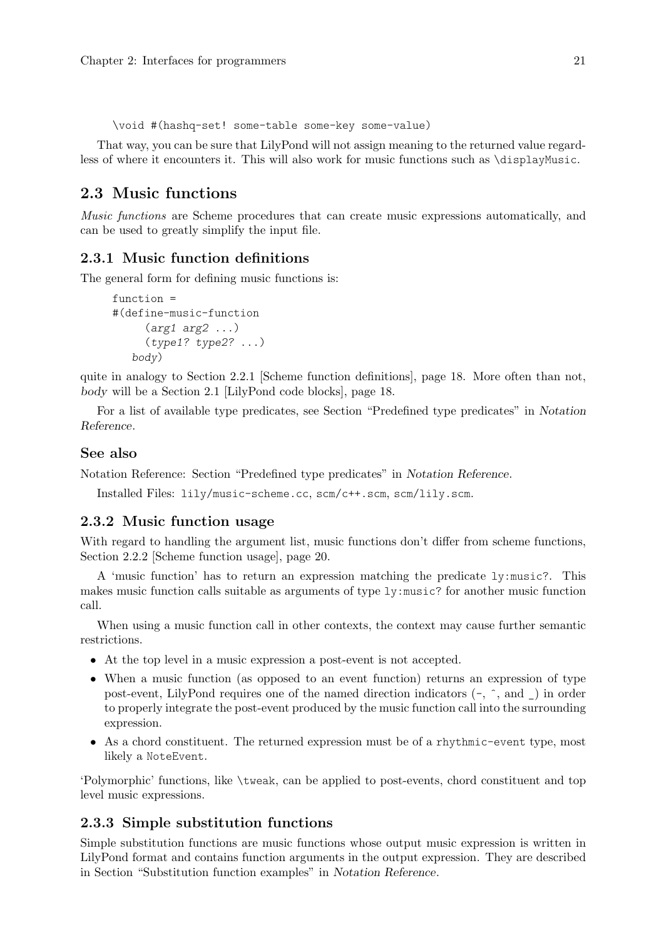<span id="page-23-0"></span>\void #(hashq-set! some-table some-key some-value)

That way, you can be sure that LilyPond will not assign meaning to the returned value regardless of where it encounters it. This will also work for music functions such as \displayMusic.

## 2.3 Music functions

Music functions are Scheme procedures that can create music expressions automatically, and can be used to greatly simplify the input file.

## 2.3.1 Music function definitions

The general form for defining music functions is:

```
function =
#(define-music-function
     (\text{arg1 arg2} \dots)(type1? type2? ...)
   body)
```
quite in analogy to [Section 2.2.1 \[Scheme function definitions\], page 18.](#page-20-2) More often than not, body will be a [Section 2.1 \[LilyPond code blocks\], page 18](#page-20-1).

For a list of available type predicates, see Section "Predefined type predicates" in Notation Reference.

#### See also

Notation Reference: Section "Predefined type predicates" in Notation Reference.

Installed Files: lily/music-scheme.cc, scm/c++.scm, scm/lily.scm.

### 2.3.2 Music function usage

With regard to handling the argument list, music functions don't differ from scheme functions, [Section 2.2.2 \[Scheme function usage\], page 20](#page-22-2).

A 'music function' has to return an expression matching the predicate ly:music?. This makes music function calls suitable as arguments of type ly:music? for another music function call.

When using a music function call in other contexts, the context may cause further semantic restrictions.

- At the top level in a music expression a post-event is not accepted.
- When a music function (as opposed to an event function) returns an expression of type post-event, LilyPond requires one of the named direction indicators (-, ˆ, and \_) in order to properly integrate the post-event produced by the music function call into the surrounding expression.
- As a chord constituent. The returned expression must be of a rhythmic-event type, most likely a NoteEvent.

'Polymorphic' functions, like \tweak, can be applied to post-events, chord constituent and top level music expressions.

## 2.3.3 Simple substitution functions

Simple substitution functions are music functions whose output music expression is written in LilyPond format and contains function arguments in the output expression. They are described in Section "Substitution function examples" in Notation Reference.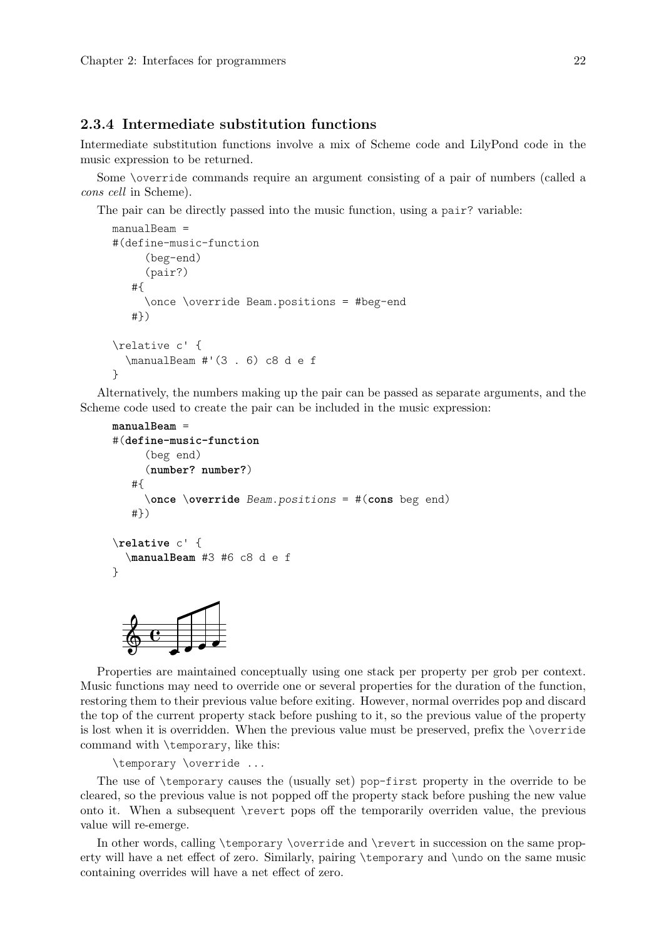#### <span id="page-24-0"></span>2.3.4 Intermediate substitution functions

Intermediate substitution functions involve a mix of Scheme code and LilyPond code in the music expression to be returned.

Some \override commands require an argument consisting of a pair of numbers (called a cons cell in Scheme).

The pair can be directly passed into the music function, using a pair? variable:

```
manualBeam =
#(define-music-function
     (beg-end)
     (pair?)
   #{
     \once \override Beam.positions = #beg-end
   #})
\relative c' {
  \manualBeam #'(3 . 6) c8 d e f
}
```
Alternatively, the numbers making up the pair can be passed as separate arguments, and the Scheme code used to create the pair can be included in the music expression:

```
manualBeam =
#(define-music-function
      (beg end)
      (number? number?)
   #{
      \once \override Beam.positions = #(cons beg end)
   #})
\relative c' {
  \manualBeam #3 #6 c8 d e f
}
              \overline{\phantom{a}}h
  \oint \mathbf{G}
```
Properties are maintained conceptually using one stack per property per grob per context. Music functions may need to override one or several properties for the duration of the function, restoring them to their previous value before exiting. However, normal overrides pop and discard the top of the current property stack before pushing to it, so the previous value of the property is lost when it is overridden. When the previous value must be preserved, prefix the \override command with \temporary, like this:

\temporary \override ...

The use of \temporary causes the (usually set) pop-first property in the override to be cleared, so the previous value is not popped off the property stack before pushing the new value onto it. When a subsequent \revert pops off the temporarily overriden value, the previous value will re-emerge.

In other words, calling \temporary \override and \revert in succession on the same property will have a net effect of zero. Similarly, pairing \temporary and \undo on the same music containing overrides will have a net effect of zero.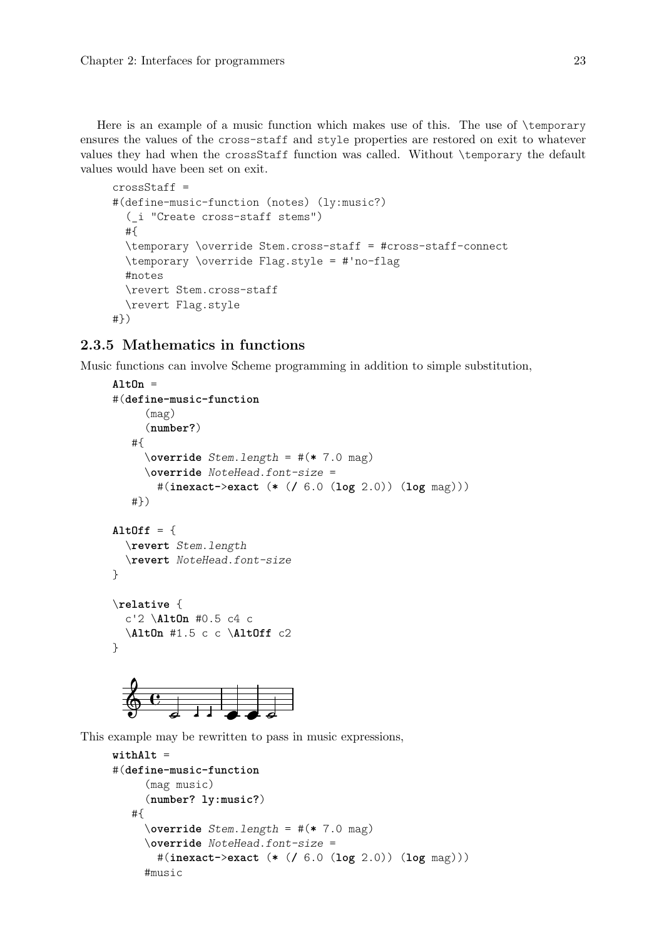<span id="page-25-0"></span>Here is an example of a music function which makes use of this. The use of \temporary ensures the values of the cross-staff and style properties are restored on exit to whatever values they had when the crossStaff function was called. Without \temporary the default values would have been set on exit.

```
crossStaff =
#(define-music-function (notes) (ly:music?)
  (_i "Create cross-staff stems")
  #{
  \temporary \override Stem.cross-staff = #cross-staff-connect
  \temporary \override Flag.style = #'no-flag
  #notes
  \revert Stem.cross-staff
  \revert Flag.style
#})
```
## 2.3.5 Mathematics in functions

Music functions can involve Scheme programming in addition to simple substitution,

```
AltOn =
#(define-music-function
        (mag)
        (number?)
    #{
        \override Stem.length = #(* 7.0 mag)
        \override NoteHead.font-size =
           #(inexact->exact (* (/ 6.0 (log 2.0)) (log mag)))
    #})
AltOff = \{\revert Stem.length
   \revert NoteHead.font-size
}
\relative {
   c'2 \AltOn #0.5 c4 c
   \AltOn #1.5 c c \AltOff c2
}
                                  \frac{1}{\bullet}\oint \mathbf{G}\begin{array}{|c|c|c|c|}\n\hline\n\text{1} & \text{1} & \text{1} & \text{1} \\
\hline\n\text{2} & \text{1} & \text{2} & \text{3} & \text{4} \\
\hline\n\end{array}
```
This example may be rewritten to pass in music expressions,

```
withAlt =
#(define-music-function
     (mag music)
     (number? ly:music?)
   #{
     \override Stem.length = #(* 7.0 mag)
     \override NoteHead.font-size =
       #(inexact->exact (* (/ 6.0 (log 2.0)) (log mag)))
     #music
```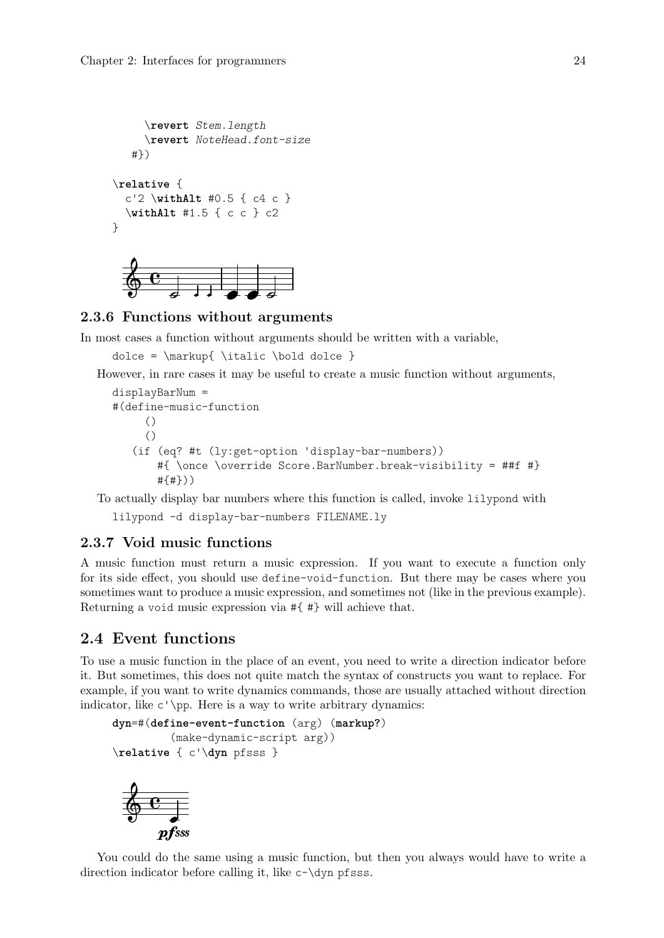```
\revert Stem.length
     \revert NoteHead.font-size
   #})
\relative {
  c'2 \withAlt #0.5 { c4 c }
  \withAlt #1.5 { c c } c2
}
```


#### 2.3.6 Functions without arguments

In most cases a function without arguments should be written with a variable,

dolce = \markup{ \italic \bold dolce }

However, in rare cases it may be useful to create a music function without arguments,

```
displayBarNum =
#(define-music-function
     ()
     ()
   (if (eq? #t (ly:get-option 'display-bar-numbers))
       #{ \once \override Score.BarNumber.break-visibility = ##f #}
       #{#}))
```
To actually display bar numbers where this function is called, invoke lilypond with

lilypond -d display-bar-numbers FILENAME.ly

## 2.3.7 Void music functions

A music function must return a music expression. If you want to execute a function only for its side effect, you should use define-void-function. But there may be cases where you sometimes want to produce a music expression, and sometimes not (like in the previous example). Returning a void music expression via #{ #} will achieve that.

## 2.4 Event functions

To use a music function in the place of an event, you need to write a direction indicator before it. But sometimes, this does not quite match the syntax of constructs you want to replace. For example, if you want to write dynamics commands, those are usually attached without direction indicator, like c'\pp. Here is a way to write arbitrary dynamics:

```
dyn=#(define-event-function (arg) (markup?)
         (make-dynamic-script arg))
\relative { c'\dyn pfsss }
```


You could do the same using a music function, but then you always would have to write a direction indicator before calling it, like c-\dyn pfsss.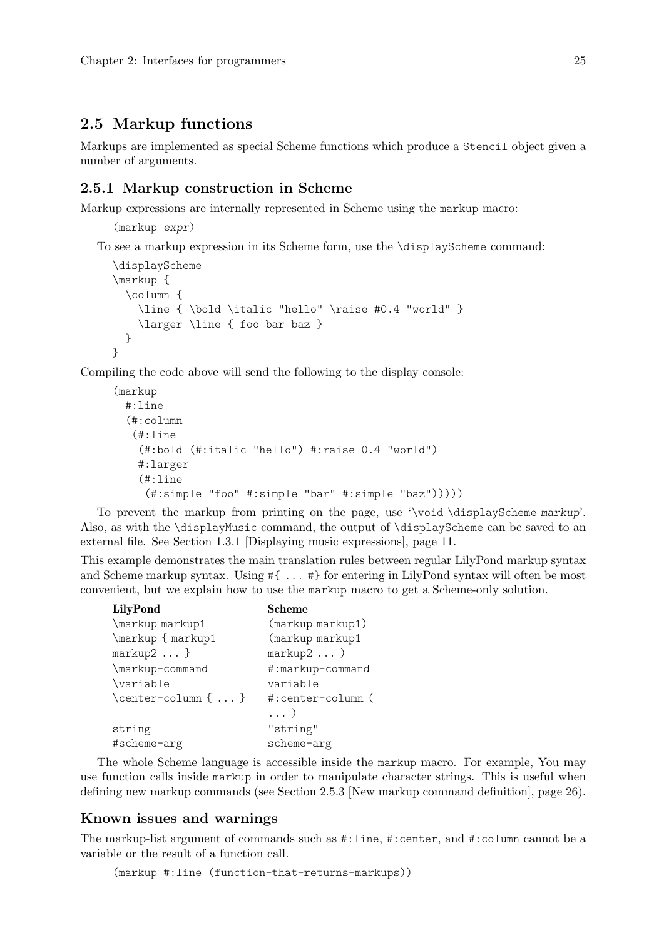## <span id="page-27-0"></span>2.5 Markup functions

Markups are implemented as special Scheme functions which produce a Stencil object given a number of arguments.

## <span id="page-27-1"></span>2.5.1 Markup construction in Scheme

Markup expressions are internally represented in Scheme using the markup macro:

```
(markup expr)
```
To see a markup expression in its Scheme form, use the \displayScheme command:

```
\displayScheme
\markup {
  \column {
    \line { \bold \italic "hello" \raise #0.4 "world" }
    \larger \line { foo bar baz }
 }
}
```
Compiling the code above will send the following to the display console:

```
(markup
 #:line
  (#:column
   (#:line
    (#:bold (#:italic "hello") #:raise 0.4 "world")
   #:larger
    (#:line
     (#:simple "foo" #:simple "bar" #:simple "baz")))))
```
To prevent the markup from printing on the page, use '\void \displayScheme markup'. Also, as with the \displayMusic command, the output of \displayScheme can be saved to an external file. See [Section 1.3.1 \[Displaying music expressions\],](#page-13-1) page 11.

This example demonstrates the main translation rules between regular LilyPond markup syntax and Scheme markup syntax. Using #{ ... #} for entering in LilyPond syntax will often be most convenient, but we explain how to use the markup macro to get a Scheme-only solution.

| <b>LilyPond</b>     | Scheme            |
|---------------------|-------------------|
| \markup markup1     | (markup markup1)  |
| \markup { markup1   | (markup markup1   |
| $markup2$ }         | markup2)          |
| \markup-command     | #:markup-command  |
| \variable           | variable          |
| \center-column {  } | #:center-column ( |
|                     | $\ldots$ )        |
| string              | "string"          |
| #scheme-arg         | scheme-arg        |

The whole Scheme language is accessible inside the markup macro. For example, You may use function calls inside markup in order to manipulate character strings. This is useful when defining new markup commands (see [Section 2.5.3 \[New markup command definition\], page 26](#page-28-1)).

## Known issues and warnings

The markup-list argument of commands such as #:line, #:center, and #:column cannot be a variable or the result of a function call.

```
(markup #:line (function-that-returns-markups))
```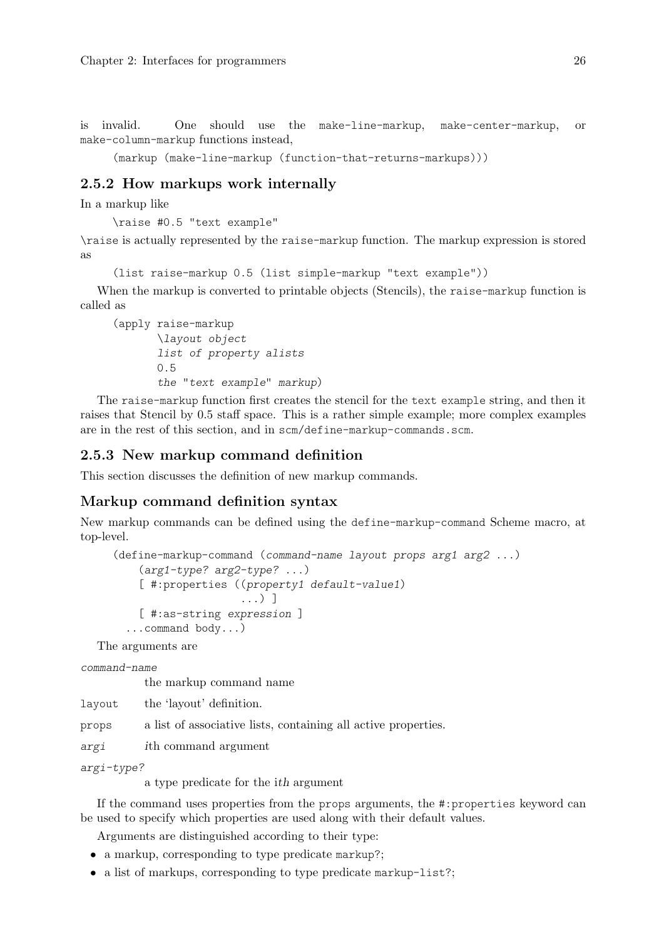<span id="page-28-0"></span>is invalid. One should use the make-line-markup, make-center-markup, or make-column-markup functions instead,

(markup (make-line-markup (function-that-returns-markups)))

## 2.5.2 How markups work internally

In a markup like

\raise #0.5 "text example"

\raise is actually represented by the raise-markup function. The markup expression is stored as

(list raise-markup 0.5 (list simple-markup "text example"))

When the markup is converted to printable objects (Stencils), the raise-markup function is called as

(apply raise-markup \layout object list of property alists 0.5 the "text example" markup)

The raise-markup function first creates the stencil for the text example string, and then it raises that Stencil by 0.5 staff space. This is a rather simple example; more complex examples are in the rest of this section, and in scm/define-markup-commands.scm.

## <span id="page-28-1"></span>2.5.3 New markup command definition

This section discusses the definition of new markup commands.

#### Markup command definition syntax

New markup commands can be defined using the define-markup-command Scheme macro, at top-level.

```
(define-markup-command (command-name layout props arg1 arg2 ...)
    (arg1-type? arg2-type? ...)
    [ #:properties ((property1 default-value1)
                    ...) ]
    [ #:as-string expression ]
  ...command body...)
```
The arguments are

command-name

the markup command name

layout the 'layout' definition.

props a list of associative lists, containing all active properties.

argi ith command argument

```
argi-type?
```
a type predicate for the ith argument

If the command uses properties from the props arguments, the #:properties keyword can be used to specify which properties are used along with their default values.

Arguments are distinguished according to their type:

- a markup, corresponding to type predicate markup?;
- a list of markups, corresponding to type predicate markup-list?;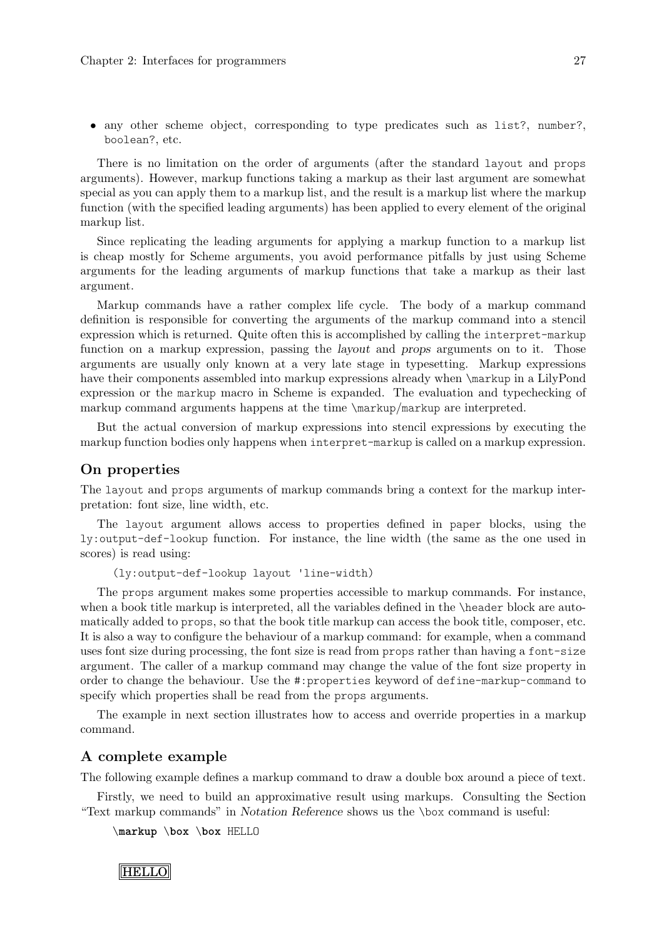<span id="page-29-0"></span>• any other scheme object, corresponding to type predicates such as list?, number?, boolean?, etc.

There is no limitation on the order of arguments (after the standard layout and props arguments). However, markup functions taking a markup as their last argument are somewhat special as you can apply them to a markup list, and the result is a markup list where the markup function (with the specified leading arguments) has been applied to every element of the original markup list.

Since replicating the leading arguments for applying a markup function to a markup list is cheap mostly for Scheme arguments, you avoid performance pitfalls by just using Scheme arguments for the leading arguments of markup functions that take a markup as their last argument.

Markup commands have a rather complex life cycle. The body of a markup command definition is responsible for converting the arguments of the markup command into a stencil expression which is returned. Quite often this is accomplished by calling the interpret-markup function on a markup expression, passing the layout and props arguments on to it. Those arguments are usually only known at a very late stage in typesetting. Markup expressions have their components assembled into markup expressions already when  $\mathrm{markup}$  in a LilyPond expression or the markup macro in Scheme is expanded. The evaluation and typechecking of markup command arguments happens at the time \markup/markup are interpreted.

But the actual conversion of markup expressions into stencil expressions by executing the markup function bodies only happens when interpret-markup is called on a markup expression.

### On properties

The layout and props arguments of markup commands bring a context for the markup interpretation: font size, line width, etc.

The layout argument allows access to properties defined in paper blocks, using the ly:output-def-lookup function. For instance, the line width (the same as the one used in scores) is read using:

(ly:output-def-lookup layout 'line-width)

The props argument makes some properties accessible to markup commands. For instance, when a book title markup is interpreted, all the variables defined in the \header block are automatically added to props, so that the book title markup can access the book title, composer, etc. It is also a way to configure the behaviour of a markup command: for example, when a command uses font size during processing, the font size is read from props rather than having a font-size argument. The caller of a markup command may change the value of the font size property in order to change the behaviour. Use the #:properties keyword of define-markup-command to specify which properties shall be read from the props arguments.

The example in next section illustrates how to access and override properties in a markup command.

## A complete example

The following example defines a markup command to draw a double box around a piece of text.

Firstly, we need to build an approximative result using markups. Consulting the Section "Text markup commands" in Notation Reference shows us the \box command is useful:

```
\markup \box \box HELLO
```
**HELLO**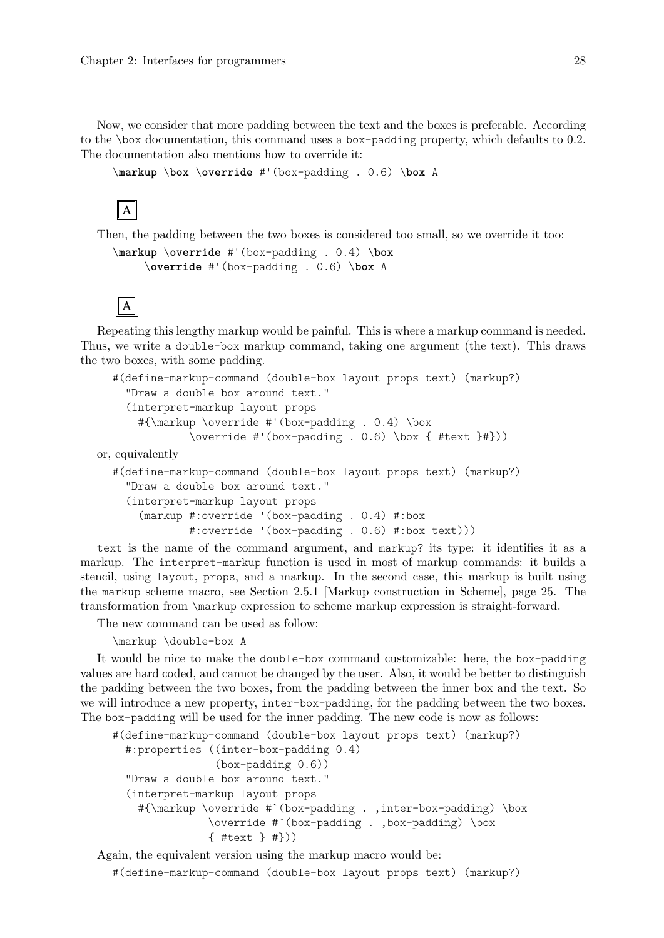Now, we consider that more padding between the text and the boxes is preferable. According to the \box documentation, this command uses a box-padding property, which defaults to 0.2. The documentation also mentions how to override it:

```
\markup \box \override #'(box-padding . 0.6) \box A
```

```
A
```
Then, the padding between the two boxes is considered too small, so we override it too:

```
\markup \override #'(box-padding . 0.4) \box
    \override #'(box-padding . 0.6) \box A
```


Repeating this lengthy markup would be painful. This is where a markup command is needed. Thus, we write a double-box markup command, taking one argument (the text). This draws the two boxes, with some padding.

```
#(define-markup-command (double-box layout props text) (markup?)
    "Draw a double box around text."
    (interpret-markup layout props
      #{\markup \override #'(box-padding . 0.4) \box
              \override #'(box-padding . 0.6) \box \{ #text \}#))or, equivalently
```

```
#(define-markup-command (double-box layout props text) (markup?)
  "Draw a double box around text."
  (interpret-markup layout props
    (markup #:override '(box-padding . 0.4) #:box
            #:override '(box-padding . 0.6) #:box text)))
```
text is the name of the command argument, and markup? its type: it identifies it as a markup. The interpret-markup function is used in most of markup commands: it builds a stencil, using layout, props, and a markup. In the second case, this markup is built using the markup scheme macro, see [Section 2.5.1 \[Markup construction in Scheme\], page 25](#page-27-1). The transformation from \markup expression to scheme markup expression is straight-forward.

The new command can be used as follow:

\markup \double-box A

It would be nice to make the double-box command customizable: here, the box-padding values are hard coded, and cannot be changed by the user. Also, it would be better to distinguish the padding between the two boxes, from the padding between the inner box and the text. So we will introduce a new property, inter-box-padding, for the padding between the two boxes. The box-padding will be used for the inner padding. The new code is now as follows:

```
#(define-markup-command (double-box layout props text) (markup?)
  #:properties ((inter-box-padding 0.4)
                (box-padding 0.6))
  "Draw a double box around text."
  (interpret-markup layout props
    #{\markup \override #`(box-padding . ,inter-box-padding) \box
               \override #`(box-padding . ,box-padding) \box
               { #text } #}))
```
Again, the equivalent version using the markup macro would be:

#(define-markup-command (double-box layout props text) (markup?)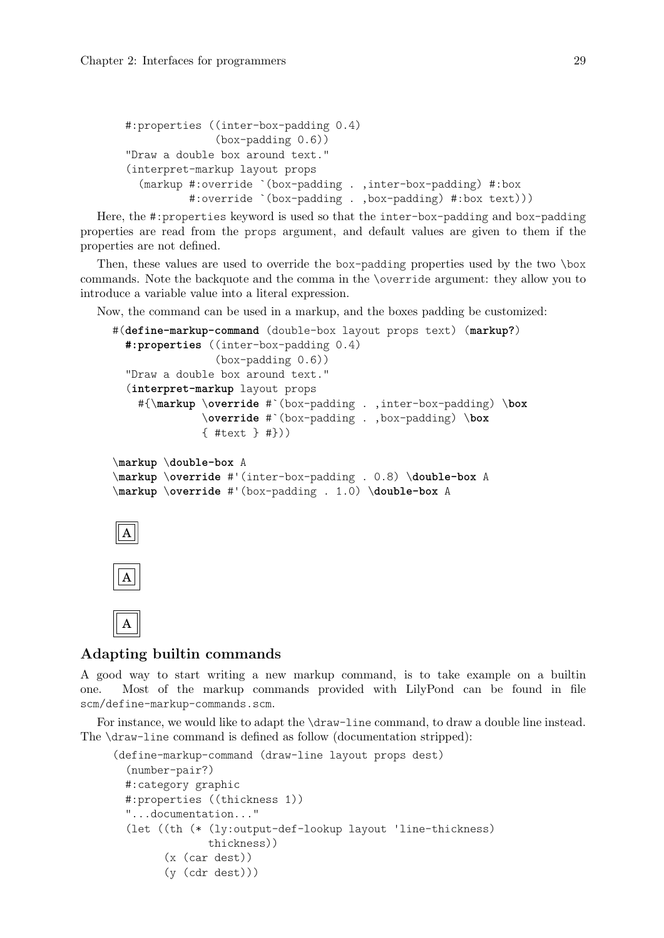```
#:properties ((inter-box-padding 0.4)
              (box-padding 0.6))
"Draw a double box around text."
(interpret-markup layout props
  (markup #:override `(box-padding . ,inter-box-padding) #:box
          #:override `(box-padding . ,box-padding) #:box text)))
```
Here, the #:properties keyword is used so that the inter-box-padding and box-padding properties are read from the props argument, and default values are given to them if the properties are not defined.

Then, these values are used to override the box-padding properties used by the two \box commands. Note the backquote and the comma in the \override argument: they allow you to introduce a variable value into a literal expression.

Now, the command can be used in a markup, and the boxes padding be customized:

```
#(define-markup-command (double-box layout props text) (markup?)
 #:properties ((inter-box-padding 0.4)
                (box-padding 0.6))
  "Draw a double box around text."
  (interpret-markup layout props
   #{\markup \override #`(box-padding . ,inter-box-padding) \box
              \override #`(box-padding . ,box-padding) \box
              { #text } #}))
\markup \double-box A
\markup \override #'(inter-box-padding . 0.8) \double-box A
\markup \override #'(box-padding . 1.0) \double-box A
```

```
A
```

```
A
```


## Adapting builtin commands

A good way to start writing a new markup command, is to take example on a builtin one. Most of the markup commands provided with LilyPond can be found in file scm/define-markup-commands.scm.

For instance, we would like to adapt the \draw-line command, to draw a double line instead. The \draw-line command is defined as follow (documentation stripped):

```
(define-markup-command (draw-line layout props dest)
  (number-pair?)
 #:category graphic
 #:properties ((thickness 1))
 "...documentation..."
  (let ((th (* (ly:output-def-lookup layout 'line-thickness)
               thickness))
        (x (car dest))
        (y (cdr dest)))
```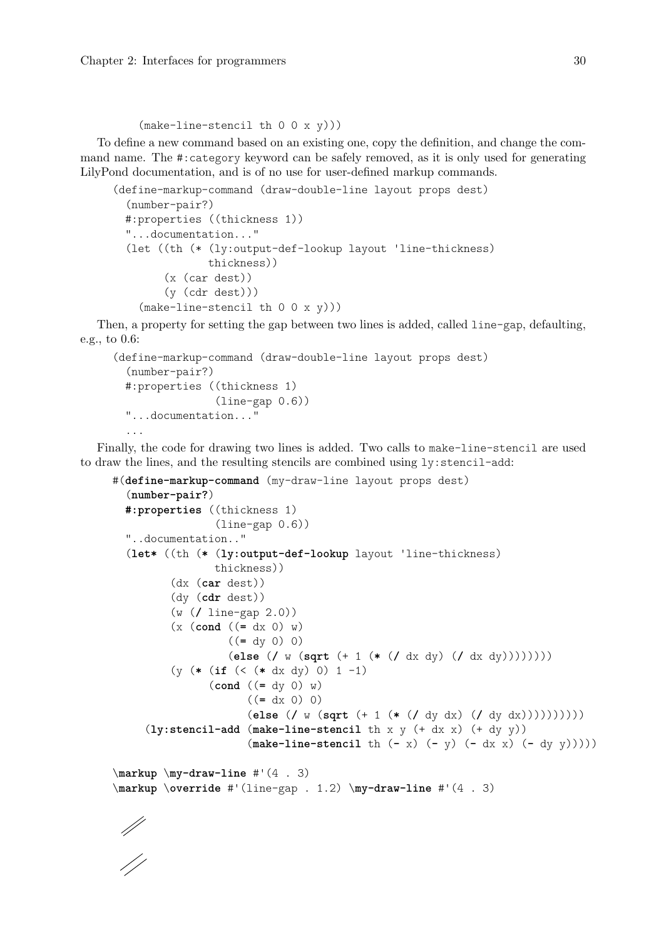#### (make-line-stencil th 0 0 x y)))

To define a new command based on an existing one, copy the definition, and change the command name. The #:category keyword can be safely removed, as it is only used for generating LilyPond documentation, and is of no use for user-defined markup commands.

```
(define-markup-command (draw-double-line layout props dest)
  (number-pair?)
 #:properties ((thickness 1))
 "...documentation..."
  (let ((th (* (ly:output-def-lookup layout 'line-thickness)
               thickness))
        (x (car dest))
        (y (cdr dest)))
    (make-line-stercil th 0 0 x y))
```
Then, a property for setting the gap between two lines is added, called line-gap, defaulting, e.g., to 0.6:

```
(define-markup-command (draw-double-line layout props dest)
  (number-pair?)
 #:properties ((thickness 1)
                (line-gap 0.6))
  "...documentation..."
  ...
```
Finally, the code for drawing two lines is added. Two calls to make-line-stencil are used to draw the lines, and the resulting stencils are combined using ly:stencil-add:

```
#(define-markup-command (my-draw-line layout props dest)
  (number-pair?)
 #:properties ((thickness 1)
                (line-gap 0.6))
 "..documentation.."
  (let* ((th (* (ly:output-def-lookup layout 'line-thickness)
                thickness))
         (dx (car dest))
         (dy (cdr dest))
         (w (/ line-gap 2.0))
         (x (cond ((= dx 0) w)
                  ((= dy 0) 0)
                  (else (/ w (sqrt (+ 1 (* (/ dx dy) (/ dx dy))))))))
         (y (* (if (< (* dx dy) 0) 1 -1)
               (cond ((= dy 0) w)
                     ((= dx 0) 0)
                     (else (/ w (sqrt (+ 1 (* (/ dy dx) (/ dy dx))))))))))
     (ly:stencil-add (make-line-stencil th x y (+ dx x) (+ dy y))
                     (make-line-stencil th (- x) (- y) (- dx x) (- dy y)))))
\markup \my-draw-line #'(4 . 3)
\markup \override #'(line-gap . 1.2) \my-draw-line #'(4 . 3)
```
||<br>|}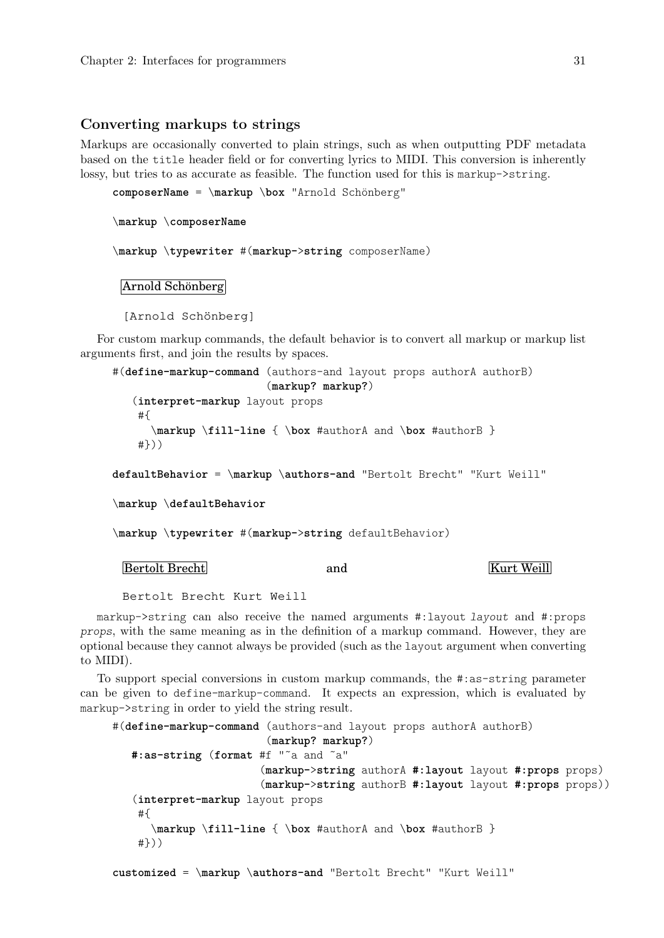#### <span id="page-33-0"></span>Converting markups to strings

Markups are occasionally converted to plain strings, such as when outputting PDF metadata based on the title header field or for converting lyrics to MIDI. This conversion is inherently lossy, but tries to as accurate as feasible. The function used for this is markup->string.

**composerName** = \markup \box "Arnold Schönberg"

\**markup** \**composerName**

\**markup** \**typewriter** #(**markup-**>**string** composerName)

Arnold Schönberg

[Arnold Schönberg]

For custom markup commands, the default behavior is to convert all markup or markup list arguments first, and join the results by spaces.

#(**define-markup-command** (authors-and layout props authorA authorB) (**markup? markup?**) (**interpret-markup** layout props #{ \**markup** \**fill-line** { \**box** #authorA and \**box** #authorB } #})) **defaultBehavior** = \**markup** \**authors-and** "Bertolt Brecht" "Kurt Weill" \**markup** \**defaultBehavior** \**markup** \**typewriter** #(**markup-**>**string** defaultBehavior)

Bertolt Brecht and and Kurt Weill

Bertolt Brecht Kurt Weill

markup->string can also receive the named arguments #:layout layout and #:props props, with the same meaning as in the definition of a markup command. However, they are optional because they cannot always be provided (such as the layout argument when converting to MIDI).

To support special conversions in custom markup commands, the #:as-string parameter can be given to define-markup-command. It expects an expression, which is evaluated by markup->string in order to yield the string result.

```
#(define-markup-command (authors-and layout props authorA authorB)
                        (markup? markup?)
  #:as-string (format #f "˜a and ˜a"
                       (markup->string authorA #:layout layout #:props props)
                       (markup->string authorB #:layout layout #:props props))
   (interpret-markup layout props
   #{
      \markup \fill-line { \box #authorA and \box #authorB }
   #}))
customized = \markup \authors-and "Bertolt Brecht" "Kurt Weill"
```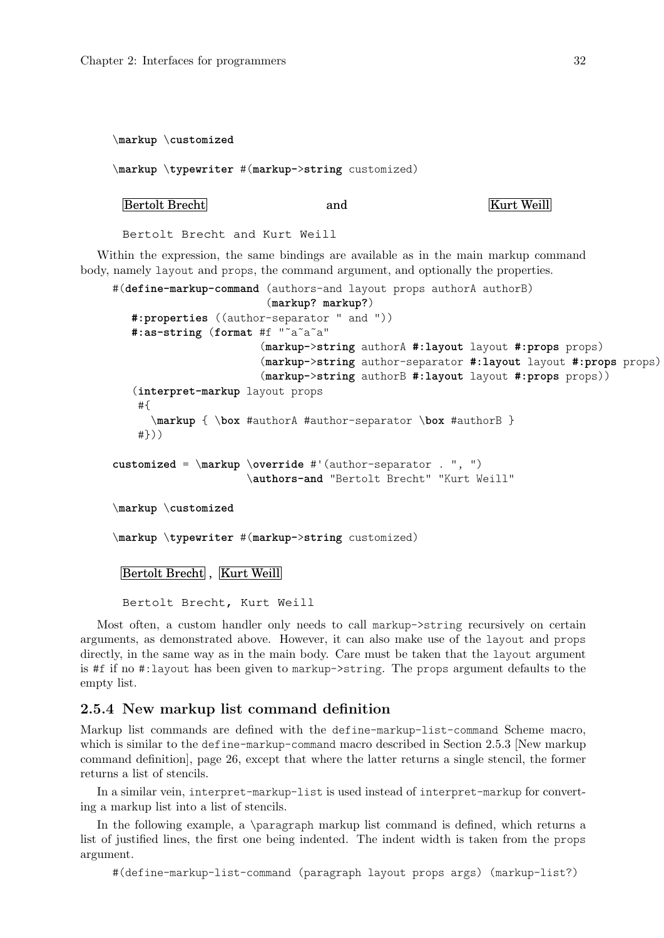<span id="page-34-0"></span>\**markup** \**customized**

\**markup** \**typewriter** #(**markup-**>**string** customized)

```
Bertolt Brecht and and Kurt Weill
```
Bertolt Brecht and Kurt Weill

Within the expression, the same bindings are available as in the main markup command body, namely layout and props, the command argument, and optionally the properties.

```
#(define-markup-command (authors-and layout props authorA authorB)
                        (markup? markup?)
   #:properties ((author-separator " and "))
   #:as-string (format #f "˜a˜a˜a"
                       (markup->string authorA #:layout layout #:props props)
                       (markup->string author-separator #:layout layout #:props props)
                       (markup->string authorB #:layout layout #:props props))
   (interpret-markup layout props
    #{
      \markup { \box #authorA #author-separator \box #authorB }
    #}))
customized = \markup \override #'(author-separator . ", ")
                     \authors-and "Bertolt Brecht" "Kurt Weill"
\markup \customized
\markup \typewriter #(markup->string customized)
 Bertolt Brecht, Kurt Weill
```
Bertolt Brecht, Kurt Weill

Most often, a custom handler only needs to call markup->string recursively on certain arguments, as demonstrated above. However, it can also make use of the layout and props directly, in the same way as in the main body. Care must be taken that the layout argument is #f if no #:layout has been given to markup->string. The props argument defaults to the empty list.

### 2.5.4 New markup list command definition

Markup list commands are defined with the define-markup-list-command Scheme macro, which is similar to the define-markup-command macro described in [Section 2.5.3 \[New markup](#page-28-1) [command definition\], page 26,](#page-28-1) except that where the latter returns a single stencil, the former returns a list of stencils.

In a similar vein, interpret-markup-list is used instead of interpret-markup for converting a markup list into a list of stencils.

In the following example, a \paragraph markup list command is defined, which returns a list of justified lines, the first one being indented. The indent width is taken from the props argument.

#(define-markup-list-command (paragraph layout props args) (markup-list?)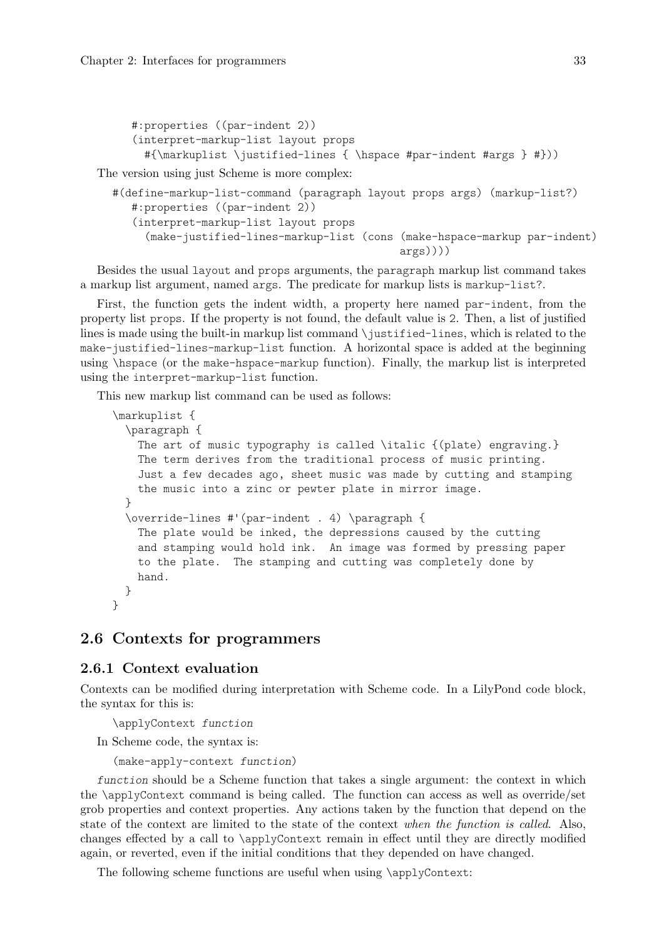```
#:properties ((par-indent 2))
(interpret-markup-list layout props
  #{\markuplist \justified-lines { \hspace #par-indent #args } #}))
```
The version using just Scheme is more complex:

```
#(define-markup-list-command (paragraph layout props args) (markup-list?)
   #:properties ((par-indent 2))
   (interpret-markup-list layout props
     (make-justified-lines-markup-list (cons (make-hspace-markup par-indent)
                                             arg(s)))
```
Besides the usual layout and props arguments, the paragraph markup list command takes a markup list argument, named args. The predicate for markup lists is markup-list?.

First, the function gets the indent width, a property here named par-indent, from the property list props. If the property is not found, the default value is 2. Then, a list of justified lines is made using the built-in markup list command \justified-lines, which is related to the make-justified-lines-markup-list function. A horizontal space is added at the beginning using \hspace (or the make-hspace-markup function). Finally, the markup list is interpreted using the interpret-markup-list function.

This new markup list command can be used as follows:

```
\markuplist {
 \paragraph {
   The art of music typography is called \italic {(plate) engraving.}
   The term derives from the traditional process of music printing.
    Just a few decades ago, sheet music was made by cutting and stamping
   the music into a zinc or pewter plate in mirror image.
 }
 \override-lines #'(par-indent . 4) \paragraph {
   The plate would be inked, the depressions caused by the cutting
   and stamping would hold ink. An image was formed by pressing paper
   to the plate. The stamping and cutting was completely done by
   hand.
 }
}
```
## 2.6 Contexts for programmers

## 2.6.1 Context evaluation

Contexts can be modified during interpretation with Scheme code. In a LilyPond code block, the syntax for this is:

\applyContext function

In Scheme code, the syntax is:

(make-apply-context function)

function should be a Scheme function that takes a single argument: the context in which the \applyContext command is being called. The function can access as well as override/set grob properties and context properties. Any actions taken by the function that depend on the state of the context are limited to the state of the context when the function is called. Also, changes effected by a call to \applyContext remain in effect until they are directly modified again, or reverted, even if the initial conditions that they depended on have changed.

The following scheme functions are useful when using \applyContext: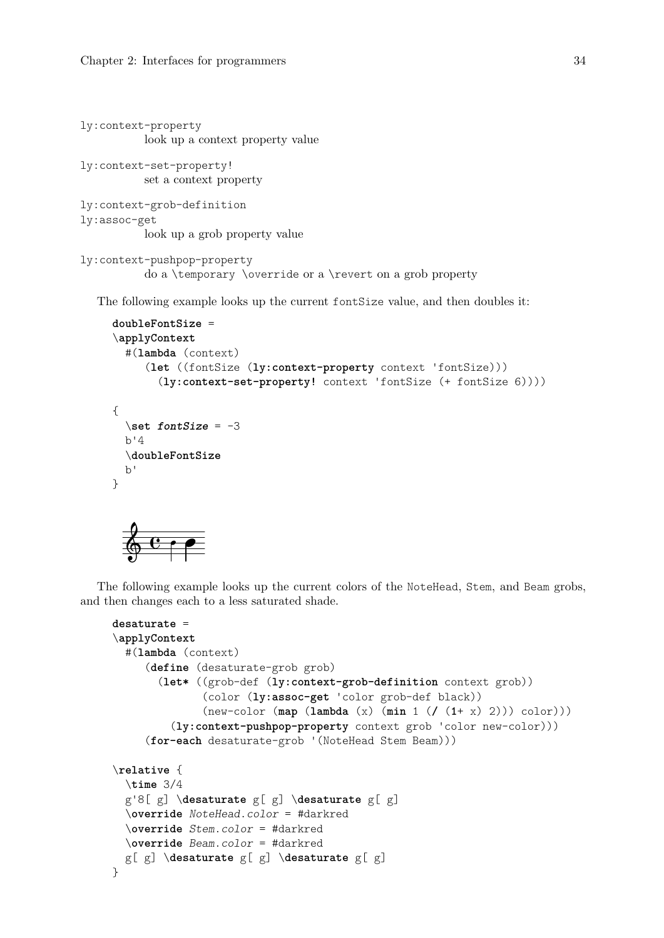```
ly:context-property
          look up a context property value
ly:context-set-property!
          set a context property
ly:context-grob-definition
ly:assoc-get
           look up a grob property value
```

```
ly:context-pushpop-property
          do a \temporary \override or a \revert on a grob property
```
The following example looks up the current fontSize value, and then doubles it:

```
doubleFontSize =
\applyContext
  #(lambda (context)
      (let ((fontSize (ly:context-property context 'fontSize)))
        (ly:context-set-property! context 'fontSize (+ fontSize 6))))
{
  \setminusset fontSize = -3
  b'4
  \doubleFontSize
  b'
}
      \overline{e} \overline{e}
```
The following example looks up the current colors of the NoteHead, Stem, and Beam grobs, and then changes each to a less saturated shade.

```
desaturate =
\applyContext
  #(lambda (context)
     (define (desaturate-grob grob)
       (let* ((grob-def (ly:context-grob-definition context grob))
              (color (ly:assoc-get 'color grob-def black))
              (new-color (map (lambda (x) (min 1 (/ (1+ x) 2))) color)))
         (ly:context-pushpop-property context grob 'color new-color)))
     (for-each desaturate-grob '(NoteHead Stem Beam)))
\relative {
 \time 3/4
  g'8[ g] \desaturate g[ g] \desaturate g[ g]
  \override NoteHead.color = #darkred
  \override Stem.color = #darkred
  \override Beam.color = #darkred
 g[ g] \desaturate g[ g] \desaturate g[ g]
}
```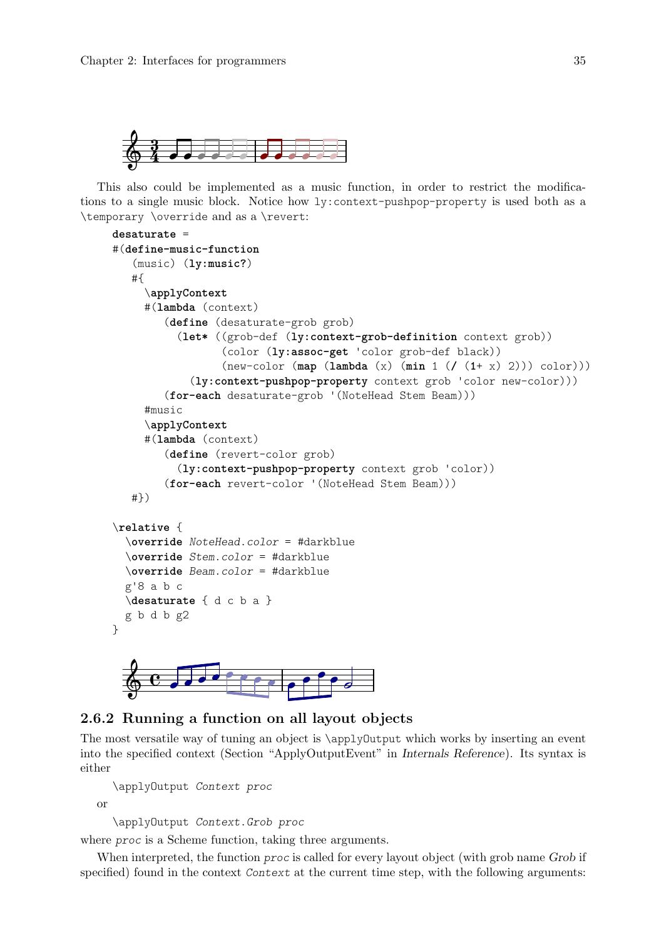<span id="page-37-0"></span>

This also could be implemented as a music function, in order to restrict the modifications to a single music block. Notice how ly:context-pushpop-property is used both as a \temporary \override and as a \revert:

```
desaturate =
#(define-music-function
     (music) (ly:music?)
    #{
       \applyContext
       #(lambda (context)
            (define (desaturate-grob grob)
               (let* ((grob-def (ly:context-grob-definition context grob))
                          (color (ly:assoc-get 'color grob-def black))
                          (new-color (map (lambda (x) (min 1 (/ (1+ x) 2))) color)))
                  (ly:context-pushpop-property context grob 'color new-color)))
            (for-each desaturate-grob '(NoteHead Stem Beam)))
       #music
       \applyContext
       #(lambda (context)
            (define (revert-color grob)
               (ly:context-pushpop-property context grob 'color))
            (for-each revert-color '(NoteHead Stem Beam)))
    #})
\relative {
   \override NoteHead.color = #darkblue
   \override Stem.color = #darkblue
   \override Beam.color = #darkblue
  g'8 a b c
   \desaturate { d c b a }
  g b d b g2
}
                                      \theta \theta \theta\frac{1}{\sqrt{1-\frac{1}{\sqrt{1-\frac{1}{\sqrt{1-\frac{1}{\sqrt{1-\frac{1}{\sqrt{1-\frac{1}{\sqrt{1-\frac{1}{\sqrt{1-\frac{1}{\sqrt{1-\frac{1}{\sqrt{1-\frac{1}{\sqrt{1-\frac{1}{\sqrt{1-\frac{1}{\sqrt{1-\frac{1}{\sqrt{1-\frac{1}{\sqrt{1-\frac{1}{\sqrt{1-\frac{1}{\sqrt{1-\frac{1}{\sqrt{1-\frac{1}{\sqrt{1-\frac{1}{\sqrt{1-\frac{1}{\sqrt{1-\frac{1}{\sqrt{1-\frac{1}{\sqrt{1-\frac{1}{\sqrt{1-\frac{1}{\sqrt{1-\frac{1 Î h h h h
                            h
              \blacksquare
```


The most versatile way of tuning an object is \applyOutput which works by inserting an event into the specified context (Section "ApplyOutputEvent" in Internals Reference). Its syntax is either

```
\applyOutput Context proc
```
or

\applyOutput Context.Grob proc

where *proc* is a Scheme function, taking three arguments.

When interpreted, the function *proc* is called for every layout object (with grob name Grob if specified) found in the context Context at the current time step, with the following arguments: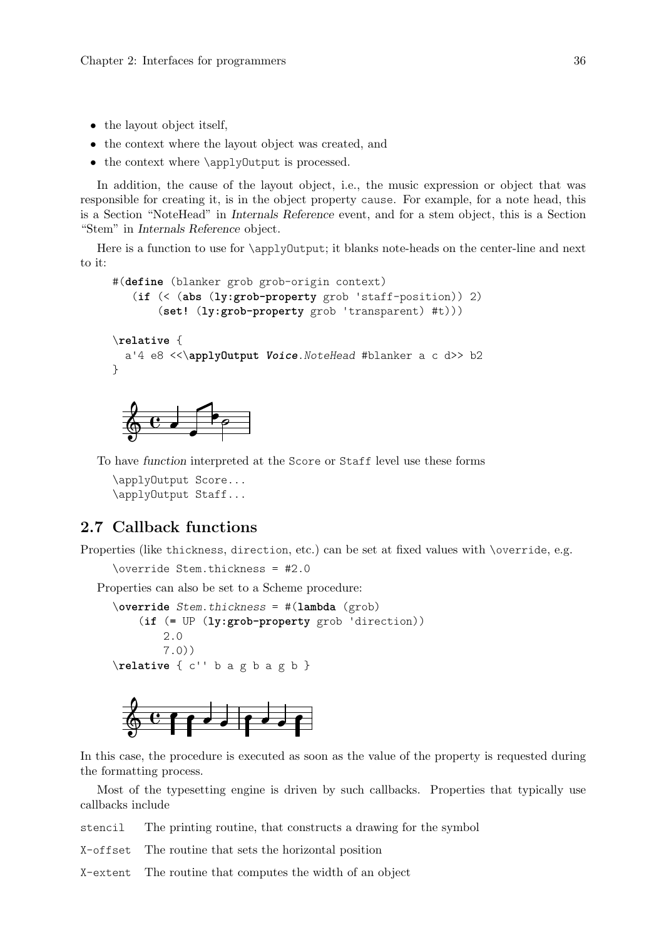- <span id="page-38-0"></span>• the layout object itself,
- the context where the layout object was created, and
- the context where \applyOutput is processed.

In addition, the cause of the layout object, i.e., the music expression or object that was responsible for creating it, is in the object property cause. For example, for a note head, this is a Section "NoteHead" in Internals Reference event, and for a stem object, this is a Section "Stem" in Internals Reference object.

Here is a function to use for \applyOutput; it blanks note-heads on the center-line and next to it:

```
#(define (blanker grob grob-origin context)
   (if (< (abs (ly:grob-property grob 'staff-position)) 2)
       (set! (ly:grob-property grob 'transparent) #t)))
\relative {
  a'4 e8 <<\applyOutput Voice.NoteHead #blanker a c d>> b2
\lambda
```


To have function interpreted at the Score or Staff level use these forms

\applyOutput Score... \applyOutput Staff...

## 2.7 Callback functions

Properties (like thickness, direction, etc.) can be set at fixed values with \override, e.g.

\override Stem.thickness = #2.0

Properties can also be set to a Scheme procedure:

```
\override Stem.thickness = #(lambda (grob)
    (if (= UP (ly:grob-property grob 'direction))
       2.0
        7.0))
\relative { c'' b a g b a g b }
```


In this case, the procedure is executed as soon as the value of the property is requested during the formatting process.

Most of the typesetting engine is driven by such callbacks. Properties that typically use callbacks include

stencil The printing routine, that constructs a drawing for the symbol

X-offset The routine that sets the horizontal position

X-extent The routine that computes the width of an object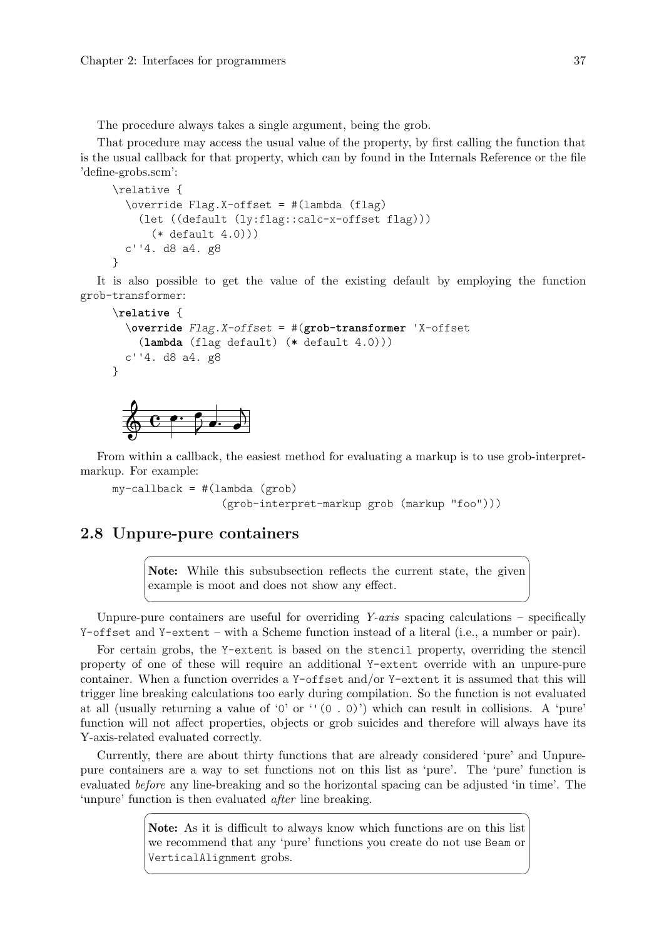<span id="page-39-0"></span>The procedure always takes a single argument, being the grob.

That procedure may access the usual value of the property, by first calling the function that is the usual callback for that property, which can by found in the Internals Reference or the file 'define-grobs.scm':

```
\relative {
  \override Flag.X-offset = #(lambda (flag)
    (let ((default (ly:flag::calc-x-offset flag)))
      (* default 4.0))c''4. d8 a4. g8
}
```
It is also possible to get the value of the existing default by employing the function grob-transformer:

```
\relative {
  \override Flag.X-offset = #(grob-transformer 'X-offset
    (lambda (flag default) (* default 4.0)))
  c''4. d8 a4. g8
}
                       \overline{a}
```

```
\overline{\cdot\phantom{1}}\oint_C \mathbf{e} \cdot \mathbf{e}Z
                                            h
```
From within a callback, the easiest method for evaluating a markup is to use grob-interpretmarkup. For example:

```
my-callback = #(lambda (grob)
                 (grob-interpret-markup grob (markup "foo")))
```
## 2.8 Unpure-pure containers

Note: While this subsubsection reflects the current state, the given example is moot and does not show any effect.

 $\sqrt{a^2 + b^2}$ 

 $\overline{\phantom{a}}$ 

Unpure-pure containers are useful for overriding  $Y\text{-}axis$  spacing calculations – specifically Y-offset and Y-extent – with a Scheme function instead of a literal (i.e., a number or pair).

For certain grobs, the Y-extent is based on the stencil property, overriding the stencil property of one of these will require an additional Y-extent override with an unpure-pure container. When a function overrides a Y-offset and/or Y-extent it is assumed that this will trigger line breaking calculations too early during compilation. So the function is not evaluated at all (usually returning a value of '0' or ''(0 . 0)') which can result in collisions. A 'pure' function will not affect properties, objects or grob suicides and therefore will always have its Y-axis-related evaluated correctly.

Currently, there are about thirty functions that are already considered 'pure' and Unpurepure containers are a way to set functions not on this list as 'pure'. The 'pure' function is evaluated before any line-breaking and so the horizontal spacing can be adjusted 'in time'. The 'unpure' function is then evaluated after line breaking.

> Note: As it is difficult to always know which functions are on this list we recommend that any 'pure' functions you create do not use Beam or VerticalAlignment grobs.

 $\sqrt{a^2 + b^2 + c^2}$ 

 $\overline{\phantom{a}}$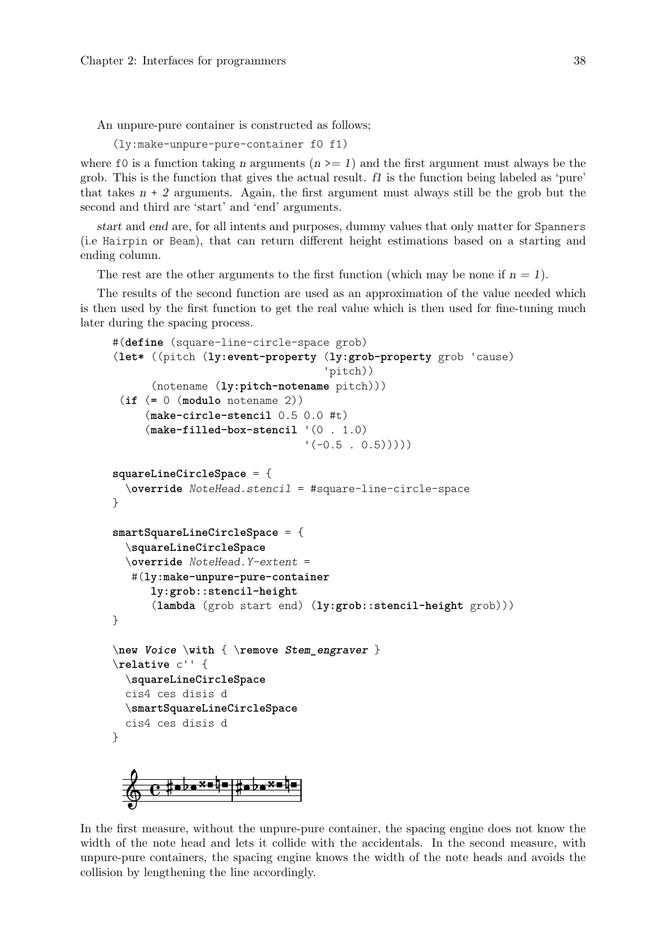An unpure-pure container is constructed as follows;

(ly:make-unpure-pure-container f0 f1)

where f0 is a function taking n arguments  $(n \geq 1)$  and the first argument must always be the grob. This is the function that gives the actual result. f1 is the function being labeled as 'pure' that takes  $n + 2$  arguments. Again, the first argument must always still be the grob but the second and third are 'start' and 'end' arguments.

start and end are, for all intents and purposes, dummy values that only matter for Spanners (i.e Hairpin or Beam), that can return different height estimations based on a starting and ending column.

The rest are the other arguments to the first function (which may be none if  $n = 1$ ).

The results of the second function are used as an approximation of the value needed which is then used by the first function to get the real value which is then used for fine-tuning much later during the spacing process.

```
#(define (square-line-circle-space grob)
(let* ((pitch (ly:event-property (ly:grob-property grob 'cause)
                                  'pitch))
      (notename (ly:pitch-notename pitch)))
 (if (= 0 (modulo notename 2))
     (make-circle-stencil 0.5 0.0 #t)
     (make-filled-box-stencil '(0 . 1.0)
                               '(-0.5 \cdot 0.5)))
squareLineCircleSpace = {
  \override NoteHead.stencil = #square-line-circle-space
}
smartSquareLineCircleSpace = {
  \squareLineCircleSpace
  \override NoteHead.Y-extent =
   #(ly:make-unpure-pure-container
      ly:grob::stencil-height
      (lambda (grob start end) (ly:grob::stencil-height grob)))
}
\new Voice \with { \remove Stem_engraver }
\relative c'' {
  \squareLineCircleSpace
  cis4 ces disis d
  \smartSquareLineCircleSpace
  cis4 ces disis d
}
         ╫╸Ӧ╸╳═┞═╎╫╺╞╒╳═┞
  \oint_0 \frac{1}{2}
```
In the first measure, without the unpure-pure container, the spacing engine does not know the width of the note head and lets it collide with the accidentals. In the second measure, with unpure-pure containers, the spacing engine knows the width of the note heads and avoids the collision by lengthening the line accordingly.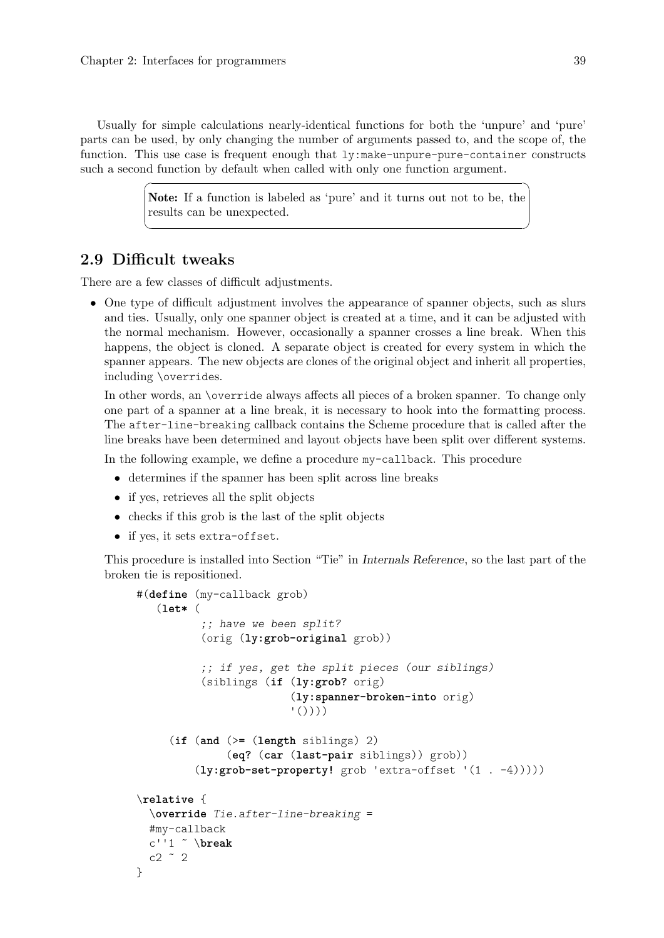<span id="page-41-0"></span>Usually for simple calculations nearly-identical functions for both the 'unpure' and 'pure' parts can be used, by only changing the number of arguments passed to, and the scope of, the function. This use case is frequent enough that  $1y:$  make-unpure-pure-container constructs such a second function by default when called with only one function argument.

> Note: If a function is labeled as 'pure' and it turns out not to be, the results can be unexpected.

 $\sqrt{a^2 + b^2 + c^2}$ 

 $\overline{\phantom{a}}$ 

## 2.9 Difficult tweaks

There are a few classes of difficult adjustments.

• One type of difficult adjustment involves the appearance of spanner objects, such as slurs and ties. Usually, only one spanner object is created at a time, and it can be adjusted with the normal mechanism. However, occasionally a spanner crosses a line break. When this happens, the object is cloned. A separate object is created for every system in which the spanner appears. The new objects are clones of the original object and inherit all properties, including \overrides.

In other words, an \override always affects all pieces of a broken spanner. To change only one part of a spanner at a line break, it is necessary to hook into the formatting process. The after-line-breaking callback contains the Scheme procedure that is called after the line breaks have been determined and layout objects have been split over different systems.

In the following example, we define a procedure my-callback. This procedure

- determines if the spanner has been split across line breaks
- if yes, retrieves all the split objects
- checks if this grob is the last of the split objects
- if yes, it sets extra-offset.

This procedure is installed into Section "Tie" in Internals Reference, so the last part of the broken tie is repositioned.

```
#(define (my-callback grob)
   (let* (
            ;; have we been split?
            (orig (ly:grob-original grob))
            ;; if yes, get the split pieces (our siblings)
            (siblings (if (ly:grob? orig)
                            (ly:spanner-broken-into orig)
                            \left( \begin{array}{c} \cdot \\ \cdot \\ \cdot \end{array} \right)(if (and (>= (length siblings) 2)
                (eq? (car (last-pair siblings)) grob))
          (ly:grob-set-property! grob 'extra-offset '(1 . -4)))))
\relative {
  \override Tie.after-line-breaking =
  #my-callback
  c''1 ˜ \break
  c2 \degree 2
}
```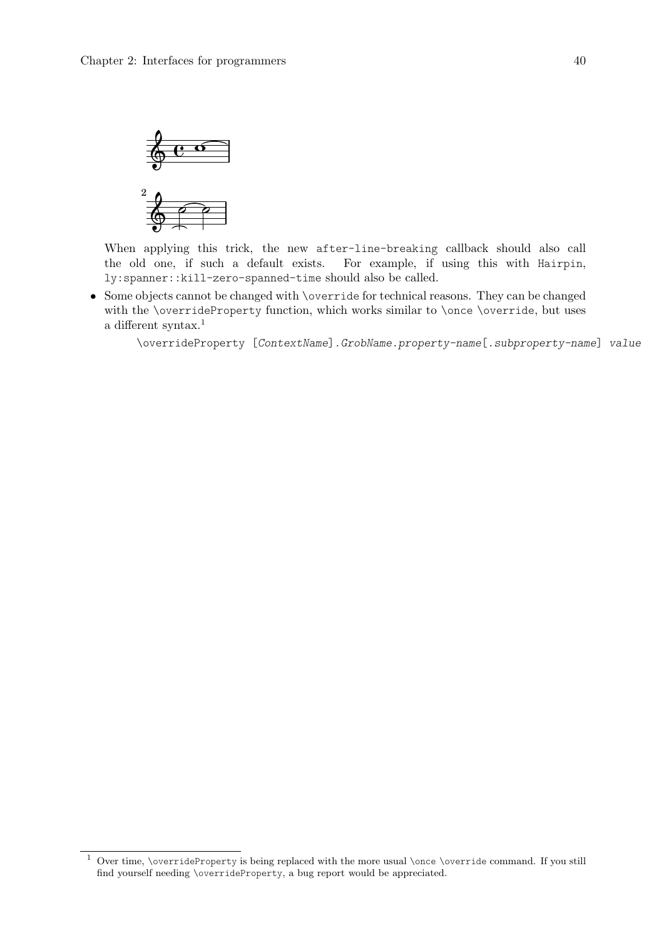

When applying this trick, the new after-line-breaking callback should also call the old one, if such a default exists. For example, if using this with Hairpin, ly:spanner::kill-zero-spanned-time should also be called.

• Some objects cannot be changed with \override for technical reasons. They can be changed with the \overrideProperty function, which works similar to \once \override, but uses a different syntax.<sup>1</sup>

\overrideProperty [ContextName].GrobName.property-name[.subproperty-name] value

 $1$  Over time, \overrideProperty is being replaced with the more usual \once \override command. If you still find yourself needing \overrideProperty, a bug report would be appreciated.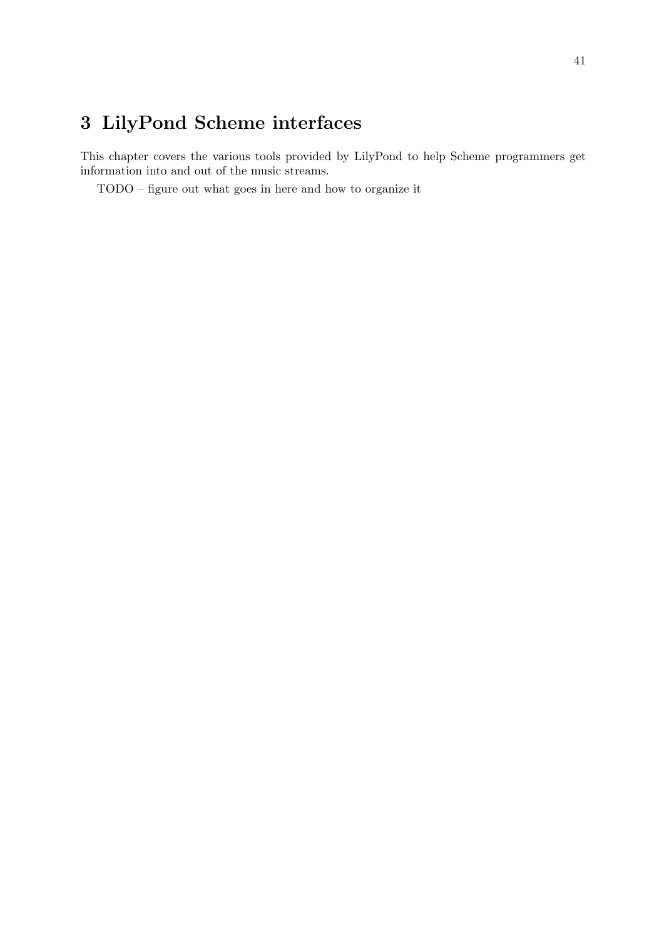# <span id="page-43-0"></span>3 LilyPond Scheme interfaces

This chapter covers the various tools provided by LilyPond to help Scheme programmers get information into and out of the music streams.

TODO – figure out what goes in here and how to organize it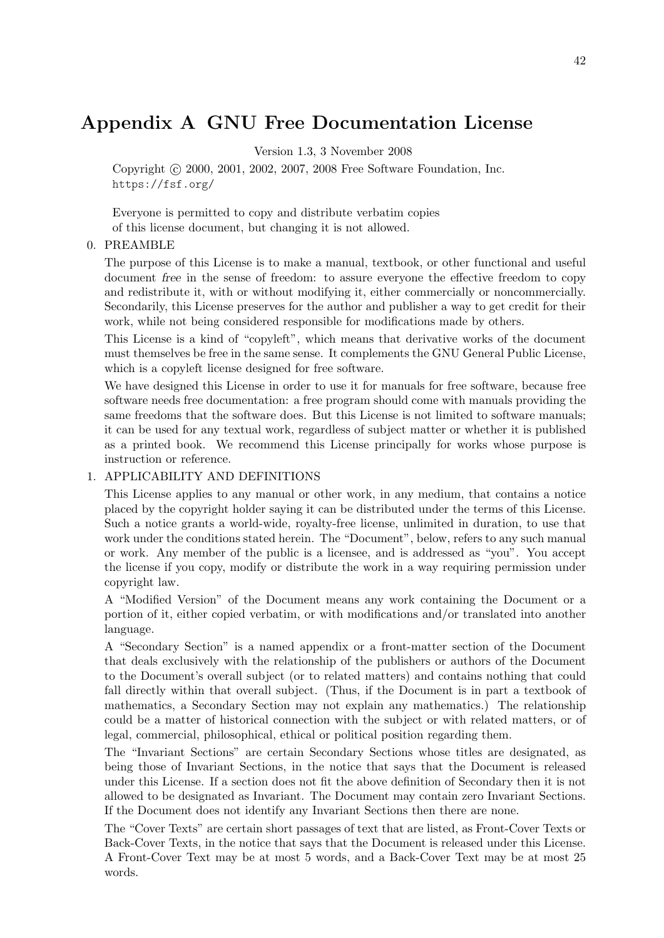# <span id="page-44-0"></span>Appendix A GNU Free Documentation License

Version 1.3, 3 November 2008

Copyright (c) 2000, 2001, 2002, 2007, 2008 Free Software Foundation, Inc. <https://fsf.org/>

Everyone is permitted to copy and distribute verbatim copies of this license document, but changing it is not allowed.

#### 0. PREAMBLE

The purpose of this License is to make a manual, textbook, or other functional and useful document free in the sense of freedom: to assure everyone the effective freedom to copy and redistribute it, with or without modifying it, either commercially or noncommercially. Secondarily, this License preserves for the author and publisher a way to get credit for their work, while not being considered responsible for modifications made by others.

This License is a kind of "copyleft", which means that derivative works of the document must themselves be free in the same sense. It complements the GNU General Public License, which is a copyleft license designed for free software.

We have designed this License in order to use it for manuals for free software, because free software needs free documentation: a free program should come with manuals providing the same freedoms that the software does. But this License is not limited to software manuals; it can be used for any textual work, regardless of subject matter or whether it is published as a printed book. We recommend this License principally for works whose purpose is instruction or reference.

#### 1. APPLICABILITY AND DEFINITIONS

This License applies to any manual or other work, in any medium, that contains a notice placed by the copyright holder saying it can be distributed under the terms of this License. Such a notice grants a world-wide, royalty-free license, unlimited in duration, to use that work under the conditions stated herein. The "Document", below, refers to any such manual or work. Any member of the public is a licensee, and is addressed as "you". You accept the license if you copy, modify or distribute the work in a way requiring permission under copyright law.

A "Modified Version" of the Document means any work containing the Document or a portion of it, either copied verbatim, or with modifications and/or translated into another language.

A "Secondary Section" is a named appendix or a front-matter section of the Document that deals exclusively with the relationship of the publishers or authors of the Document to the Document's overall subject (or to related matters) and contains nothing that could fall directly within that overall subject. (Thus, if the Document is in part a textbook of mathematics, a Secondary Section may not explain any mathematics.) The relationship could be a matter of historical connection with the subject or with related matters, or of legal, commercial, philosophical, ethical or political position regarding them.

The "Invariant Sections" are certain Secondary Sections whose titles are designated, as being those of Invariant Sections, in the notice that says that the Document is released under this License. If a section does not fit the above definition of Secondary then it is not allowed to be designated as Invariant. The Document may contain zero Invariant Sections. If the Document does not identify any Invariant Sections then there are none.

The "Cover Texts" are certain short passages of text that are listed, as Front-Cover Texts or Back-Cover Texts, in the notice that says that the Document is released under this License. A Front-Cover Text may be at most 5 words, and a Back-Cover Text may be at most 25 words.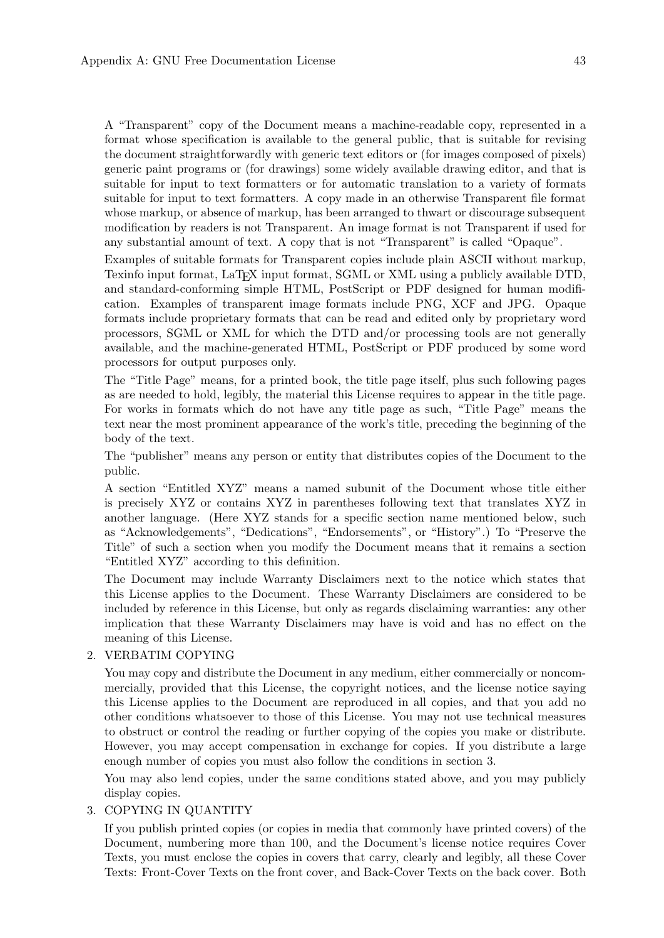A "Transparent" copy of the Document means a machine-readable copy, represented in a format whose specification is available to the general public, that is suitable for revising the document straightforwardly with generic text editors or (for images composed of pixels) generic paint programs or (for drawings) some widely available drawing editor, and that is suitable for input to text formatters or for automatic translation to a variety of formats suitable for input to text formatters. A copy made in an otherwise Transparent file format whose markup, or absence of markup, has been arranged to thwart or discourage subsequent modification by readers is not Transparent. An image format is not Transparent if used for any substantial amount of text. A copy that is not "Transparent" is called "Opaque".

Examples of suitable formats for Transparent copies include plain ASCII without markup, Texinfo input format, LaT<sub>E</sub>X input format, SGML or XML using a publicly available DTD, and standard-conforming simple HTML, PostScript or PDF designed for human modification. Examples of transparent image formats include PNG, XCF and JPG. Opaque formats include proprietary formats that can be read and edited only by proprietary word processors, SGML or XML for which the DTD and/or processing tools are not generally available, and the machine-generated HTML, PostScript or PDF produced by some word processors for output purposes only.

The "Title Page" means, for a printed book, the title page itself, plus such following pages as are needed to hold, legibly, the material this License requires to appear in the title page. For works in formats which do not have any title page as such, "Title Page" means the text near the most prominent appearance of the work's title, preceding the beginning of the body of the text.

The "publisher" means any person or entity that distributes copies of the Document to the public.

A section "Entitled XYZ" means a named subunit of the Document whose title either is precisely XYZ or contains XYZ in parentheses following text that translates XYZ in another language. (Here XYZ stands for a specific section name mentioned below, such as "Acknowledgements", "Dedications", "Endorsements", or "History".) To "Preserve the Title" of such a section when you modify the Document means that it remains a section "Entitled XYZ" according to this definition.

The Document may include Warranty Disclaimers next to the notice which states that this License applies to the Document. These Warranty Disclaimers are considered to be included by reference in this License, but only as regards disclaiming warranties: any other implication that these Warranty Disclaimers may have is void and has no effect on the meaning of this License.

#### 2. VERBATIM COPYING

You may copy and distribute the Document in any medium, either commercially or noncommercially, provided that this License, the copyright notices, and the license notice saying this License applies to the Document are reproduced in all copies, and that you add no other conditions whatsoever to those of this License. You may not use technical measures to obstruct or control the reading or further copying of the copies you make or distribute. However, you may accept compensation in exchange for copies. If you distribute a large enough number of copies you must also follow the conditions in section 3.

You may also lend copies, under the same conditions stated above, and you may publicly display copies.

## 3. COPYING IN QUANTITY

If you publish printed copies (or copies in media that commonly have printed covers) of the Document, numbering more than 100, and the Document's license notice requires Cover Texts, you must enclose the copies in covers that carry, clearly and legibly, all these Cover Texts: Front-Cover Texts on the front cover, and Back-Cover Texts on the back cover. Both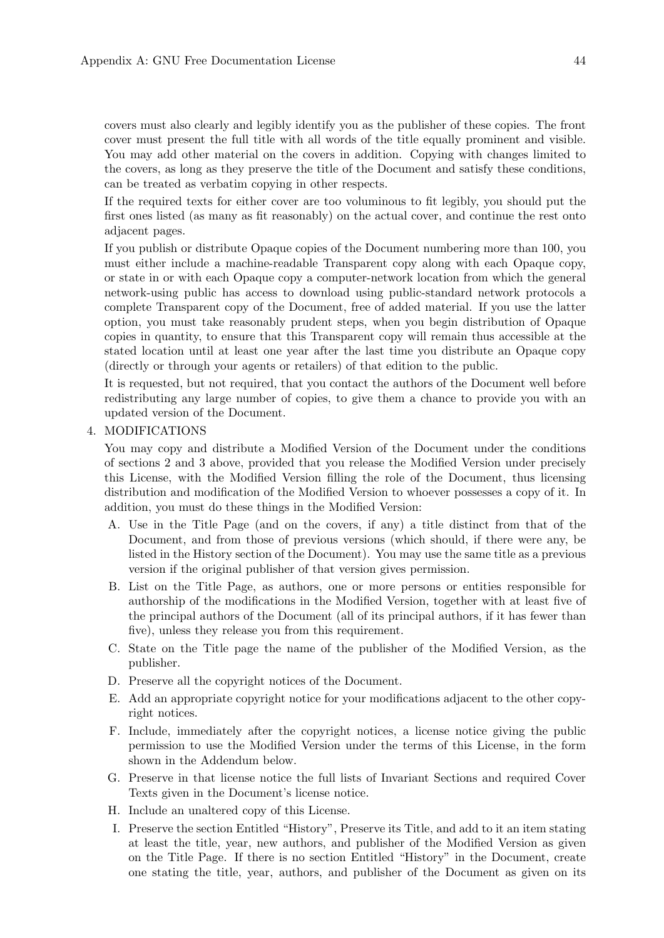covers must also clearly and legibly identify you as the publisher of these copies. The front cover must present the full title with all words of the title equally prominent and visible. You may add other material on the covers in addition. Copying with changes limited to the covers, as long as they preserve the title of the Document and satisfy these conditions, can be treated as verbatim copying in other respects.

If the required texts for either cover are too voluminous to fit legibly, you should put the first ones listed (as many as fit reasonably) on the actual cover, and continue the rest onto adjacent pages.

If you publish or distribute Opaque copies of the Document numbering more than 100, you must either include a machine-readable Transparent copy along with each Opaque copy, or state in or with each Opaque copy a computer-network location from which the general network-using public has access to download using public-standard network protocols a complete Transparent copy of the Document, free of added material. If you use the latter option, you must take reasonably prudent steps, when you begin distribution of Opaque copies in quantity, to ensure that this Transparent copy will remain thus accessible at the stated location until at least one year after the last time you distribute an Opaque copy (directly or through your agents or retailers) of that edition to the public.

It is requested, but not required, that you contact the authors of the Document well before redistributing any large number of copies, to give them a chance to provide you with an updated version of the Document.

#### 4. MODIFICATIONS

You may copy and distribute a Modified Version of the Document under the conditions of sections 2 and 3 above, provided that you release the Modified Version under precisely this License, with the Modified Version filling the role of the Document, thus licensing distribution and modification of the Modified Version to whoever possesses a copy of it. In addition, you must do these things in the Modified Version:

- A. Use in the Title Page (and on the covers, if any) a title distinct from that of the Document, and from those of previous versions (which should, if there were any, be listed in the History section of the Document). You may use the same title as a previous version if the original publisher of that version gives permission.
- B. List on the Title Page, as authors, one or more persons or entities responsible for authorship of the modifications in the Modified Version, together with at least five of the principal authors of the Document (all of its principal authors, if it has fewer than five), unless they release you from this requirement.
- C. State on the Title page the name of the publisher of the Modified Version, as the publisher.
- D. Preserve all the copyright notices of the Document.
- E. Add an appropriate copyright notice for your modifications adjacent to the other copyright notices.
- F. Include, immediately after the copyright notices, a license notice giving the public permission to use the Modified Version under the terms of this License, in the form shown in the Addendum below.
- G. Preserve in that license notice the full lists of Invariant Sections and required Cover Texts given in the Document's license notice.
- H. Include an unaltered copy of this License.
- I. Preserve the section Entitled "History", Preserve its Title, and add to it an item stating at least the title, year, new authors, and publisher of the Modified Version as given on the Title Page. If there is no section Entitled "History" in the Document, create one stating the title, year, authors, and publisher of the Document as given on its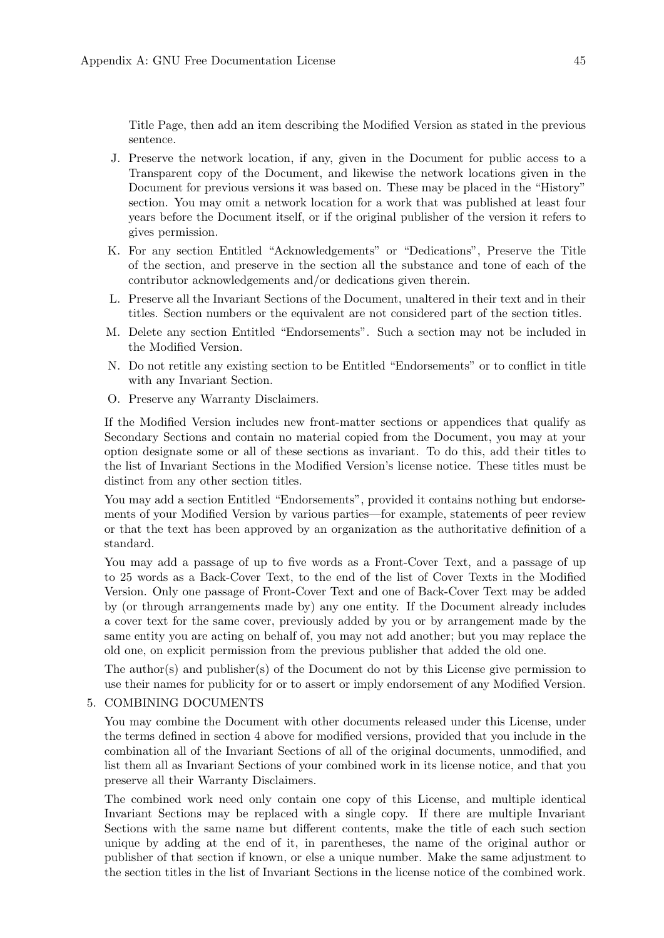Title Page, then add an item describing the Modified Version as stated in the previous sentence.

- J. Preserve the network location, if any, given in the Document for public access to a Transparent copy of the Document, and likewise the network locations given in the Document for previous versions it was based on. These may be placed in the "History" section. You may omit a network location for a work that was published at least four years before the Document itself, or if the original publisher of the version it refers to gives permission.
- K. For any section Entitled "Acknowledgements" or "Dedications", Preserve the Title of the section, and preserve in the section all the substance and tone of each of the contributor acknowledgements and/or dedications given therein.
- L. Preserve all the Invariant Sections of the Document, unaltered in their text and in their titles. Section numbers or the equivalent are not considered part of the section titles.
- M. Delete any section Entitled "Endorsements". Such a section may not be included in the Modified Version.
- N. Do not retitle any existing section to be Entitled "Endorsements" or to conflict in title with any Invariant Section.
- O. Preserve any Warranty Disclaimers.

If the Modified Version includes new front-matter sections or appendices that qualify as Secondary Sections and contain no material copied from the Document, you may at your option designate some or all of these sections as invariant. To do this, add their titles to the list of Invariant Sections in the Modified Version's license notice. These titles must be distinct from any other section titles.

You may add a section Entitled "Endorsements", provided it contains nothing but endorsements of your Modified Version by various parties—for example, statements of peer review or that the text has been approved by an organization as the authoritative definition of a standard.

You may add a passage of up to five words as a Front-Cover Text, and a passage of up to 25 words as a Back-Cover Text, to the end of the list of Cover Texts in the Modified Version. Only one passage of Front-Cover Text and one of Back-Cover Text may be added by (or through arrangements made by) any one entity. If the Document already includes a cover text for the same cover, previously added by you or by arrangement made by the same entity you are acting on behalf of, you may not add another; but you may replace the old one, on explicit permission from the previous publisher that added the old one.

The author(s) and publisher(s) of the Document do not by this License give permission to use their names for publicity for or to assert or imply endorsement of any Modified Version.

#### 5. COMBINING DOCUMENTS

You may combine the Document with other documents released under this License, under the terms defined in section 4 above for modified versions, provided that you include in the combination all of the Invariant Sections of all of the original documents, unmodified, and list them all as Invariant Sections of your combined work in its license notice, and that you preserve all their Warranty Disclaimers.

The combined work need only contain one copy of this License, and multiple identical Invariant Sections may be replaced with a single copy. If there are multiple Invariant Sections with the same name but different contents, make the title of each such section unique by adding at the end of it, in parentheses, the name of the original author or publisher of that section if known, or else a unique number. Make the same adjustment to the section titles in the list of Invariant Sections in the license notice of the combined work.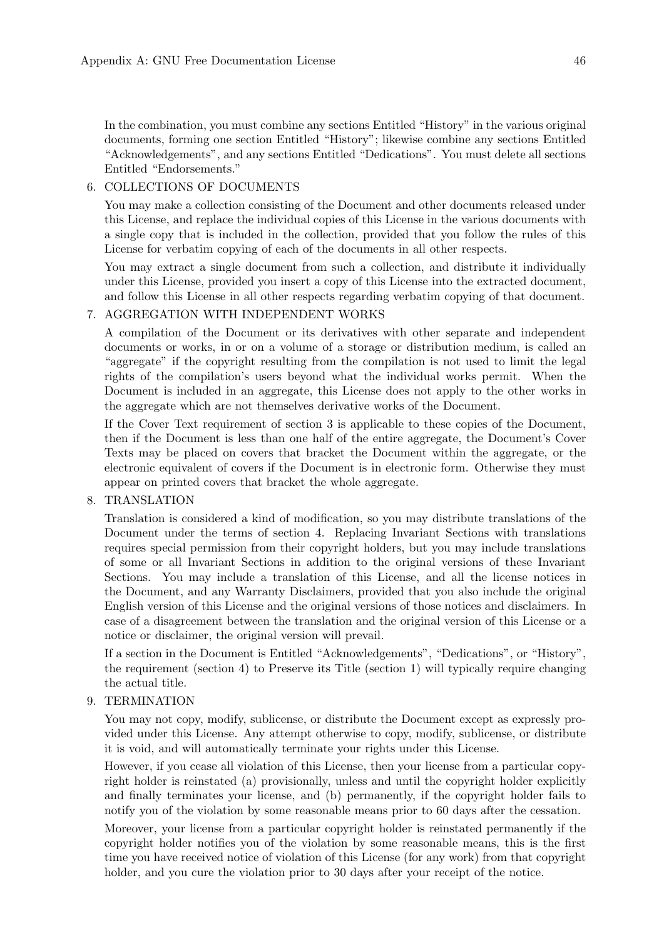In the combination, you must combine any sections Entitled "History" in the various original documents, forming one section Entitled "History"; likewise combine any sections Entitled "Acknowledgements", and any sections Entitled "Dedications". You must delete all sections Entitled "Endorsements."

#### 6. COLLECTIONS OF DOCUMENTS

You may make a collection consisting of the Document and other documents released under this License, and replace the individual copies of this License in the various documents with a single copy that is included in the collection, provided that you follow the rules of this License for verbatim copying of each of the documents in all other respects.

You may extract a single document from such a collection, and distribute it individually under this License, provided you insert a copy of this License into the extracted document, and follow this License in all other respects regarding verbatim copying of that document.

## 7. AGGREGATION WITH INDEPENDENT WORKS

A compilation of the Document or its derivatives with other separate and independent documents or works, in or on a volume of a storage or distribution medium, is called an "aggregate" if the copyright resulting from the compilation is not used to limit the legal rights of the compilation's users beyond what the individual works permit. When the Document is included in an aggregate, this License does not apply to the other works in the aggregate which are not themselves derivative works of the Document.

If the Cover Text requirement of section 3 is applicable to these copies of the Document, then if the Document is less than one half of the entire aggregate, the Document's Cover Texts may be placed on covers that bracket the Document within the aggregate, or the electronic equivalent of covers if the Document is in electronic form. Otherwise they must appear on printed covers that bracket the whole aggregate.

#### 8. TRANSLATION

Translation is considered a kind of modification, so you may distribute translations of the Document under the terms of section 4. Replacing Invariant Sections with translations requires special permission from their copyright holders, but you may include translations of some or all Invariant Sections in addition to the original versions of these Invariant Sections. You may include a translation of this License, and all the license notices in the Document, and any Warranty Disclaimers, provided that you also include the original English version of this License and the original versions of those notices and disclaimers. In case of a disagreement between the translation and the original version of this License or a notice or disclaimer, the original version will prevail.

If a section in the Document is Entitled "Acknowledgements", "Dedications", or "History", the requirement (section 4) to Preserve its Title (section 1) will typically require changing the actual title.

#### 9. TERMINATION

You may not copy, modify, sublicense, or distribute the Document except as expressly provided under this License. Any attempt otherwise to copy, modify, sublicense, or distribute it is void, and will automatically terminate your rights under this License.

However, if you cease all violation of this License, then your license from a particular copyright holder is reinstated (a) provisionally, unless and until the copyright holder explicitly and finally terminates your license, and (b) permanently, if the copyright holder fails to notify you of the violation by some reasonable means prior to 60 days after the cessation.

Moreover, your license from a particular copyright holder is reinstated permanently if the copyright holder notifies you of the violation by some reasonable means, this is the first time you have received notice of violation of this License (for any work) from that copyright holder, and you cure the violation prior to 30 days after your receipt of the notice.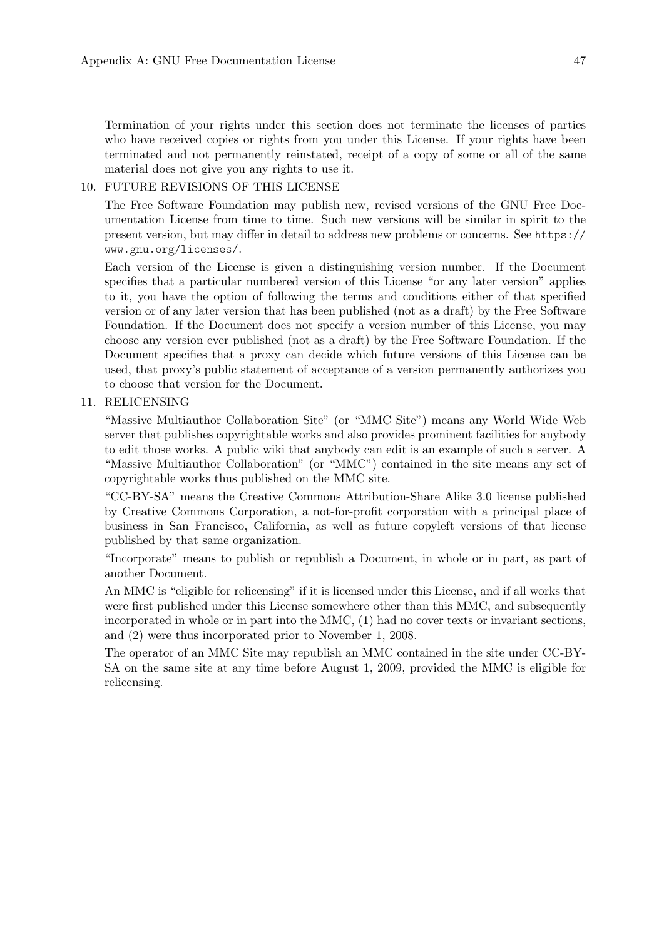Termination of your rights under this section does not terminate the licenses of parties who have received copies or rights from you under this License. If your rights have been terminated and not permanently reinstated, receipt of a copy of some or all of the same material does not give you any rights to use it.

#### 10. FUTURE REVISIONS OF THIS LICENSE

The Free Software Foundation may publish new, revised versions of the GNU Free Documentation License from time to time. Such new versions will be similar in spirit to the present version, but may differ in detail to address new problems or concerns. See [https://](https://www.gnu.org/licenses/) [www.gnu.org/licenses/](https://www.gnu.org/licenses/).

Each version of the License is given a distinguishing version number. If the Document specifies that a particular numbered version of this License "or any later version" applies to it, you have the option of following the terms and conditions either of that specified version or of any later version that has been published (not as a draft) by the Free Software Foundation. If the Document does not specify a version number of this License, you may choose any version ever published (not as a draft) by the Free Software Foundation. If the Document specifies that a proxy can decide which future versions of this License can be used, that proxy's public statement of acceptance of a version permanently authorizes you to choose that version for the Document.

#### 11. RELICENSING

"Massive Multiauthor Collaboration Site" (or "MMC Site") means any World Wide Web server that publishes copyrightable works and also provides prominent facilities for anybody to edit those works. A public wiki that anybody can edit is an example of such a server. A "Massive Multiauthor Collaboration" (or "MMC") contained in the site means any set of copyrightable works thus published on the MMC site.

"CC-BY-SA" means the Creative Commons Attribution-Share Alike 3.0 license published by Creative Commons Corporation, a not-for-profit corporation with a principal place of business in San Francisco, California, as well as future copyleft versions of that license published by that same organization.

"Incorporate" means to publish or republish a Document, in whole or in part, as part of another Document.

An MMC is "eligible for relicensing" if it is licensed under this License, and if all works that were first published under this License somewhere other than this MMC, and subsequently incorporated in whole or in part into the MMC, (1) had no cover texts or invariant sections, and (2) were thus incorporated prior to November 1, 2008.

The operator of an MMC Site may republish an MMC contained in the site under CC-BY-SA on the same site at any time before August 1, 2009, provided the MMC is eligible for relicensing.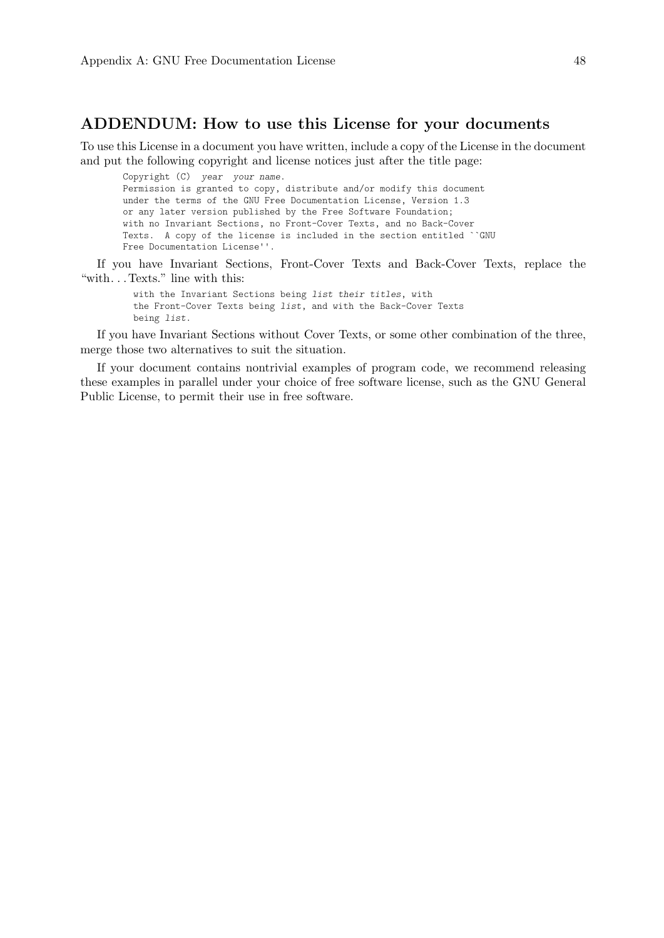## ADDENDUM: How to use this License for your documents

To use this License in a document you have written, include a copy of the License in the document and put the following copyright and license notices just after the title page:

Copyright (C) year your name. Permission is granted to copy, distribute and/or modify this document under the terms of the GNU Free Documentation License, Version 1.3 or any later version published by the Free Software Foundation; with no Invariant Sections, no Front-Cover Texts, and no Back-Cover Texts. A copy of the license is included in the section entitled ``GNU Free Documentation License''.

If you have Invariant Sections, Front-Cover Texts and Back-Cover Texts, replace the "with. . . Texts." line with this:

with the Invariant Sections being list their titles, with the Front-Cover Texts being list, and with the Back-Cover Texts being list.

If you have Invariant Sections without Cover Texts, or some other combination of the three, merge those two alternatives to suit the situation.

If your document contains nontrivial examples of program code, we recommend releasing these examples in parallel under your choice of free software license, such as the GNU General Public License, to permit their use in free software.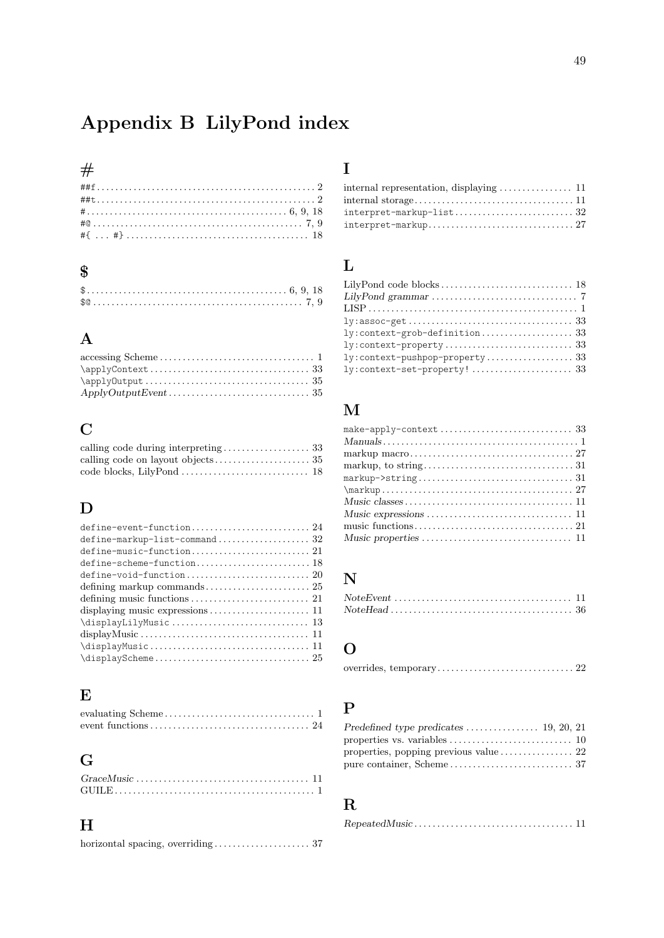# <span id="page-51-0"></span>Appendix B LilyPond index

## $#$

| $\blacksquare$ |  |  |  |  |  |  |  |  |  |  |  |  |  |  |  |  |  |  |  |  |  |  |
|----------------|--|--|--|--|--|--|--|--|--|--|--|--|--|--|--|--|--|--|--|--|--|--|
|                |  |  |  |  |  |  |  |  |  |  |  |  |  |  |  |  |  |  |  |  |  |  |
|                |  |  |  |  |  |  |  |  |  |  |  |  |  |  |  |  |  |  |  |  |  |  |
|                |  |  |  |  |  |  |  |  |  |  |  |  |  |  |  |  |  |  |  |  |  |  |
|                |  |  |  |  |  |  |  |  |  |  |  |  |  |  |  |  |  |  |  |  |  |  |
|                |  |  |  |  |  |  |  |  |  |  |  |  |  |  |  |  |  |  |  |  |  |  |
|                |  |  |  |  |  |  |  |  |  |  |  |  |  |  |  |  |  |  |  |  |  |  |

# \$

# $\bf A$

| $\{\alpha p1yContext \ldots \ldots \ldots \ldots \ldots \ldots \ldots \}$                    |  |
|----------------------------------------------------------------------------------------------|--|
|                                                                                              |  |
| $ApplyOutput Event \ldots \ldots \ldots \ldots \ldots \ldots \ldots \ldots \ldots \ldots 35$ |  |

# C

# D

| define-scheme-function 18                                                                             |
|-------------------------------------------------------------------------------------------------------|
|                                                                                                       |
|                                                                                                       |
|                                                                                                       |
|                                                                                                       |
|                                                                                                       |
| $displayMusic \ldots \ldots \ldots \ldots \ldots \ldots \ldots \ldots \ldots \ldots \ldots \ldots 11$ |
| $\displaystyle\big\{\text{displayMusic}\dots\ldots\dots\dots\dots\dots\dots\quad11$                   |
| $\displaystyle\bigcup_{25}$                                                                           |

# E

# G

| $GraceMusic \ldots \ldots \ldots \ldots \ldots \ldots \ldots \ldots \ldots \ldots \ldots \ldots \ldots 11$ |  |
|------------------------------------------------------------------------------------------------------------|--|
|                                                                                                            |  |

# H

horizontal spacing, overriding . . . . . . . . . . . . . . . . . . . . . [37](#page-39-0)

# I

| internal representation, displaying $\dots\dots\dots\dots\dots$ 11 |  |
|--------------------------------------------------------------------|--|
|                                                                    |  |
| $interpret$ -markup-list32                                         |  |
|                                                                    |  |

# L

| ly:context-grob-definition 33  |
|--------------------------------|
|                                |
| ly:context-pushpop-property 33 |
| ly:context-set-property! 33    |

# M

| $\{\text{markup} \dots 27\}$ |  |
|------------------------------|--|
|                              |  |
|                              |  |
|                              |  |
|                              |  |

# N

# O

```
overrides, temporary. . . . . . . . . . . . . . . . . . . . . . . . . . . . . . 22
```
# P

| Predefined type predicates $\dots \dots \dots \dots \dots \dots$ 19, 20, 21 |  |  |
|-----------------------------------------------------------------------------|--|--|
|                                                                             |  |  |
|                                                                             |  |  |
|                                                                             |  |  |

# R